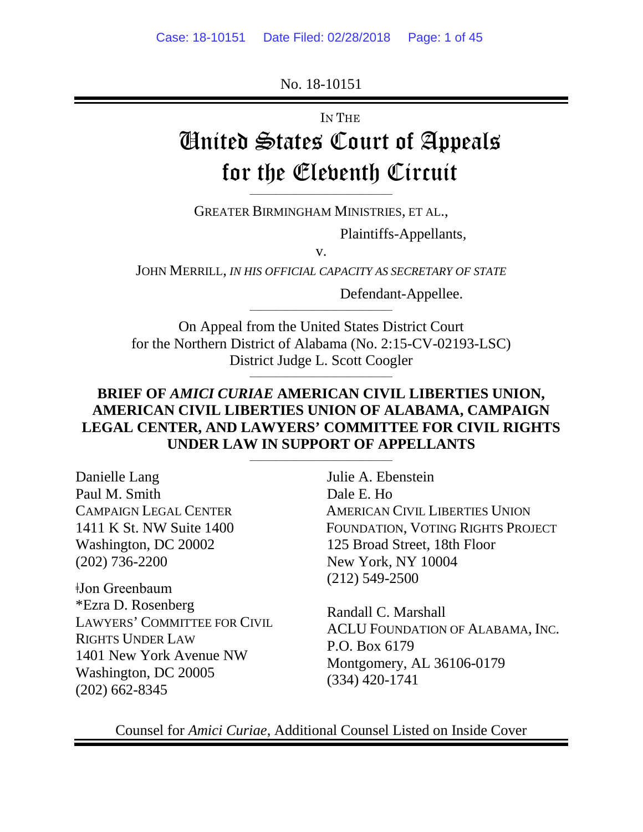No. 18-10151

IN THE

# United States Court of Appeals for the Eleventh Circuit \_\_\_\_\_\_\_\_\_\_\_\_\_\_\_\_\_\_\_\_\_\_\_\_\_\_\_\_\_\_\_\_\_\_

GREATER BIRMINGHAM MINISTRIES, ET AL.,

Plaintiffs-Appellants*,*

v.

JOHN MERRILL, *IN HIS OFFICIAL CAPACITY AS SECRETARY OF STATE*

Defendant-Appellee.

On Appeal from the United States District Court for the Northern District of Alabama (No. 2:15-CV-02193-LSC) District Judge L. Scott Coogler \_\_\_\_\_\_\_\_\_\_\_\_\_\_\_\_\_\_\_\_\_\_\_\_\_\_\_\_\_\_\_\_\_\_

\_\_\_\_\_\_\_\_\_\_\_\_\_\_\_\_\_\_\_\_\_\_\_\_\_\_\_\_\_\_\_\_\_\_

# **BRIEF OF** *AMICI CURIAE* **AMERICAN CIVIL LIBERTIES UNION, AMERICAN CIVIL LIBERTIES UNION OF ALABAMA, CAMPAIGN LEGAL CENTER, AND LAWYERS' COMMITTEE FOR CIVIL RIGHTS UNDER LAW IN SUPPORT OF APPELLANTS**

\_\_\_\_\_\_\_\_\_\_\_\_\_\_\_\_\_\_\_\_\_\_\_\_\_\_\_\_\_\_\_\_\_\_

Danielle Lang Paul M. Smith CAMPAIGN LEGAL CENTER 1411 K St. NW Suite 1400 Washington, DC 20002 (202) 736-2200

ǂJon Greenbaum \*Ezra D. Rosenberg LAWYERS' COMMITTEE FOR CIVIL RIGHTS UNDER LAW 1401 New York Avenue NW Washington, DC 20005 (202) 662-8345

Julie A. Ebenstein Dale E. Ho AMERICAN CIVIL LIBERTIES UNION FOUNDATION, VOTING RIGHTS PROJECT 125 Broad Street, 18th Floor New York, NY 10004 (212) 549-2500

Randall C. Marshall ACLU FOUNDATION OF ALABAMA, INC. P.O. Box 6179 Montgomery, AL 36106-0179 (334) 420-1741

Counsel for *Amici Curiae*, Additional Counsel Listed on Inside Cover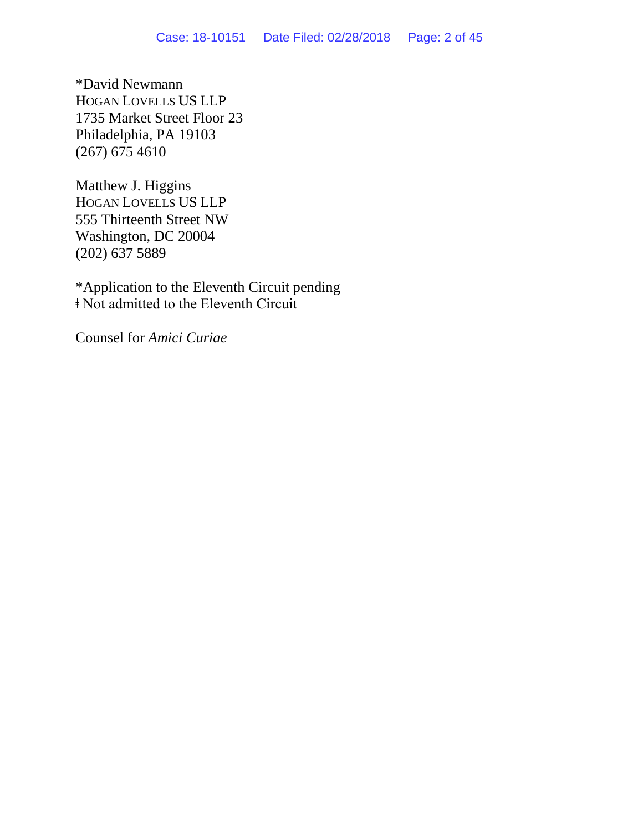\*David Newmann HOGAN LOVELLS US LLP 1735 Market Street Floor 23 Philadelphia, PA 19103 (267) 675 4610

Matthew J. Higgins HOGAN LOVELLS US LLP 555 Thirteenth Street NW Washington, DC 20004 (202) 637 5889

\*Application to the Eleventh Circuit pending ǂ Not admitted to the Eleventh Circuit

Counsel for *Amici Curiae*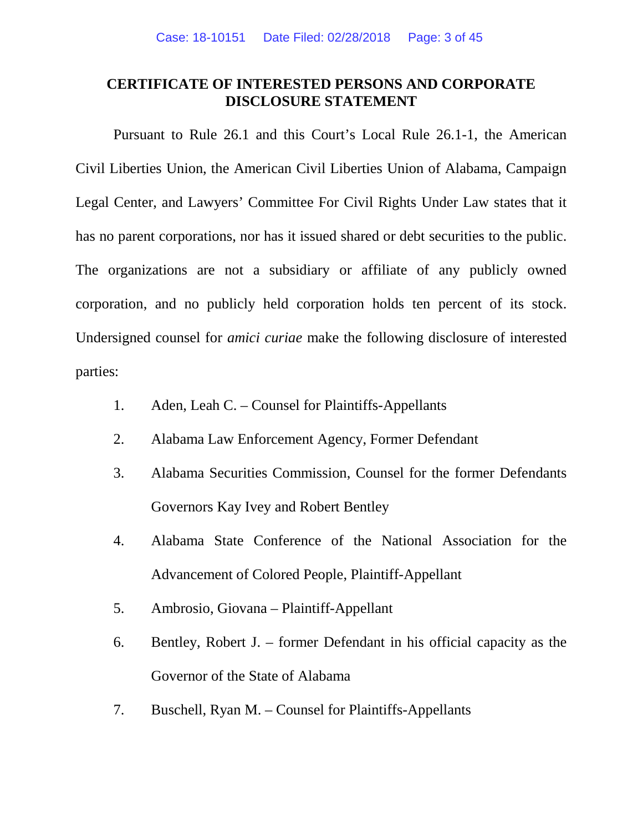## **CERTIFICATE OF INTERESTED PERSONS AND CORPORATE DISCLOSURE STATEMENT**

Pursuant to Rule 26.1 and this Court's Local Rule 26.1-1, the American Civil Liberties Union, the American Civil Liberties Union of Alabama, Campaign Legal Center, and Lawyers' Committee For Civil Rights Under Law states that it has no parent corporations, nor has it issued shared or debt securities to the public. The organizations are not a subsidiary or affiliate of any publicly owned corporation, and no publicly held corporation holds ten percent of its stock. Undersigned counsel for *amici curiae* make the following disclosure of interested parties:

- 1. Aden, Leah C. Counsel for Plaintiffs-Appellants
- 2. Alabama Law Enforcement Agency, Former Defendant
- 3. Alabama Securities Commission, Counsel for the former Defendants Governors Kay Ivey and Robert Bentley
- 4. Alabama State Conference of the National Association for the Advancement of Colored People, Plaintiff-Appellant
- 5. Ambrosio, Giovana Plaintiff-Appellant
- 6. Bentley, Robert J. former Defendant in his official capacity as the Governor of the State of Alabama
- 7. Buschell, Ryan M. Counsel for Plaintiffs-Appellants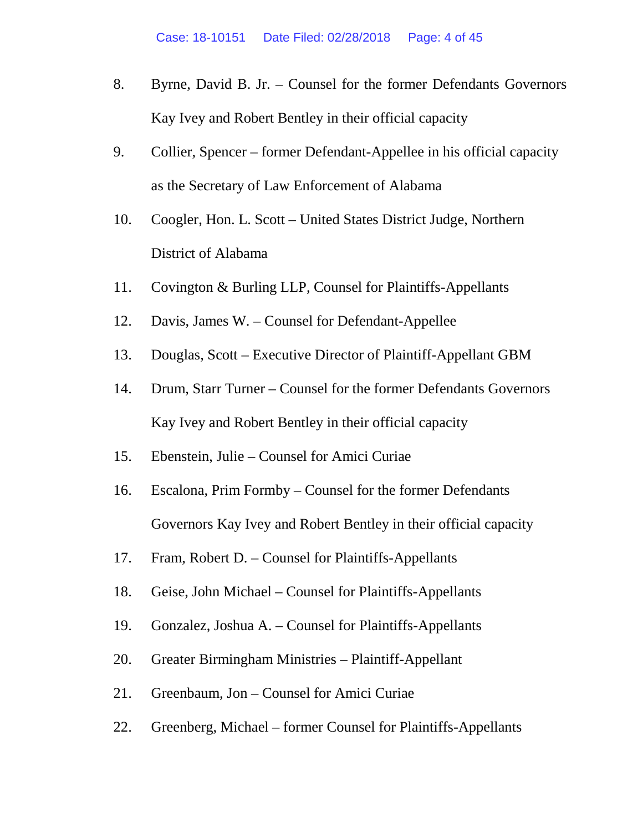- 8. Byrne, David B. Jr. Counsel for the former Defendants Governors Kay Ivey and Robert Bentley in their official capacity
- 9. Collier, Spencer former Defendant-Appellee in his official capacity as the Secretary of Law Enforcement of Alabama
- 10. Coogler, Hon. L. Scott United States District Judge, Northern District of Alabama
- 11. Covington & Burling LLP, Counsel for Plaintiffs-Appellants
- 12. Davis, James W. Counsel for Defendant-Appellee
- 13. Douglas, Scott Executive Director of Plaintiff-Appellant GBM
- 14. Drum, Starr Turner Counsel for the former Defendants Governors Kay Ivey and Robert Bentley in their official capacity
- 15. Ebenstein, Julie Counsel for Amici Curiae
- 16. Escalona, Prim Formby Counsel for the former Defendants Governors Kay Ivey and Robert Bentley in their official capacity
- 17. Fram, Robert D. Counsel for Plaintiffs-Appellants
- 18. Geise, John Michael Counsel for Plaintiffs-Appellants
- 19. Gonzalez, Joshua A. Counsel for Plaintiffs-Appellants
- 20. Greater Birmingham Ministries Plaintiff-Appellant
- 21. Greenbaum, Jon Counsel for Amici Curiae
- 22. Greenberg, Michael former Counsel for Plaintiffs-Appellants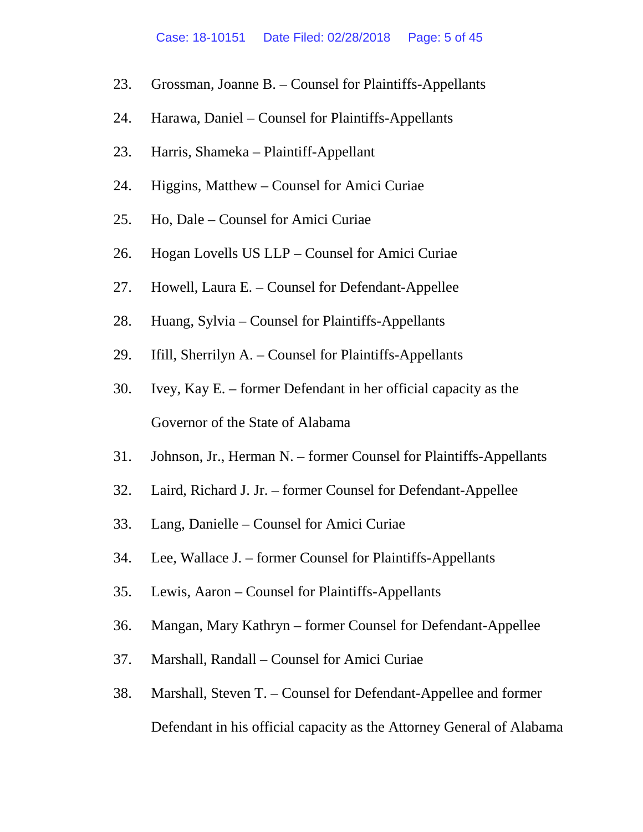- 23. Grossman, Joanne B. Counsel for Plaintiffs-Appellants
- 24. Harawa, Daniel Counsel for Plaintiffs-Appellants
- 23. Harris, Shameka Plaintiff-Appellant
- 24. Higgins, Matthew Counsel for Amici Curiae
- 25. Ho, Dale Counsel for Amici Curiae
- 26. Hogan Lovells US LLP Counsel for Amici Curiae
- 27. Howell, Laura E. Counsel for Defendant-Appellee
- 28. Huang, Sylvia Counsel for Plaintiffs-Appellants
- 29. Ifill, Sherrilyn A. Counsel for Plaintiffs-Appellants
- 30. Ivey, Kay E. former Defendant in her official capacity as the Governor of the State of Alabama
- 31. Johnson, Jr., Herman N. former Counsel for Plaintiffs-Appellants
- 32. Laird, Richard J. Jr. former Counsel for Defendant-Appellee
- 33. Lang, Danielle Counsel for Amici Curiae
- 34. Lee, Wallace J. former Counsel for Plaintiffs-Appellants
- 35. Lewis, Aaron Counsel for Plaintiffs-Appellants
- 36. Mangan, Mary Kathryn former Counsel for Defendant-Appellee
- 37. Marshall, Randall Counsel for Amici Curiae
- 38. Marshall, Steven T. Counsel for Defendant-Appellee and former Defendant in his official capacity as the Attorney General of Alabama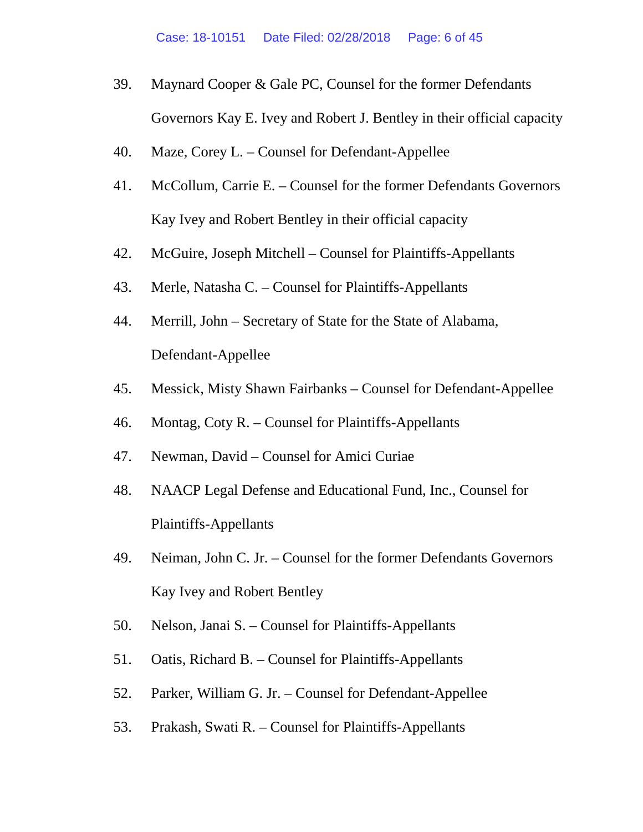- 39. Maynard Cooper & Gale PC, Counsel for the former Defendants Governors Kay E. Ivey and Robert J. Bentley in their official capacity
- 40. Maze, Corey L. Counsel for Defendant-Appellee
- 41. McCollum, Carrie E. Counsel for the former Defendants Governors Kay Ivey and Robert Bentley in their official capacity
- 42. McGuire, Joseph Mitchell Counsel for Plaintiffs-Appellants
- 43. Merle, Natasha C. Counsel for Plaintiffs-Appellants
- 44. Merrill, John Secretary of State for the State of Alabama, Defendant-Appellee
- 45. Messick, Misty Shawn Fairbanks Counsel for Defendant-Appellee
- 46. Montag, Coty R. Counsel for Plaintiffs-Appellants
- 47. Newman, David Counsel for Amici Curiae
- 48. NAACP Legal Defense and Educational Fund, Inc., Counsel for Plaintiffs-Appellants
- 49. Neiman, John C. Jr. Counsel for the former Defendants Governors Kay Ivey and Robert Bentley
- 50. Nelson, Janai S. Counsel for Plaintiffs-Appellants
- 51. Oatis, Richard B. Counsel for Plaintiffs-Appellants
- 52. Parker, William G. Jr. Counsel for Defendant-Appellee
- 53. Prakash, Swati R. Counsel for Plaintiffs-Appellants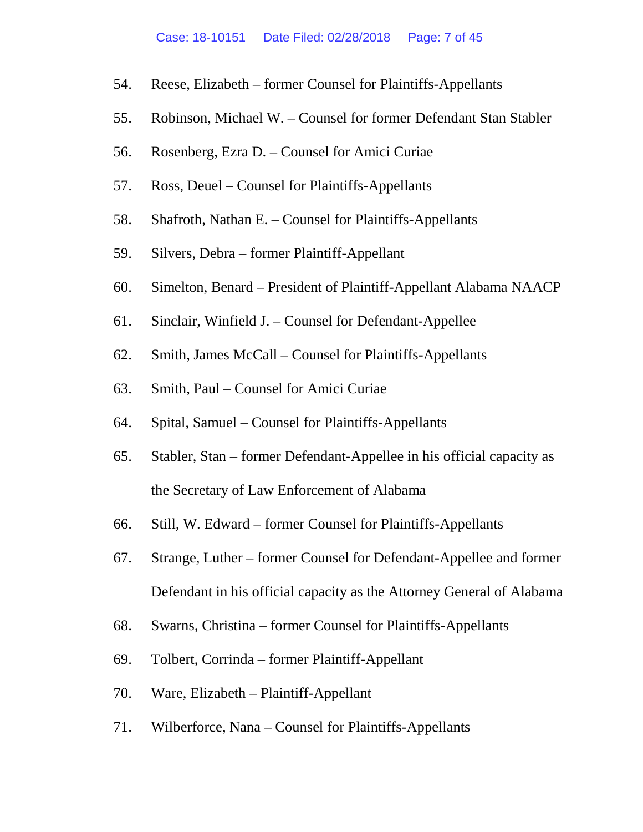- 54. Reese, Elizabeth former Counsel for Plaintiffs-Appellants
- 55. Robinson, Michael W. Counsel for former Defendant Stan Stabler
- 56. Rosenberg, Ezra D. Counsel for Amici Curiae
- 57. Ross, Deuel Counsel for Plaintiffs-Appellants
- 58. Shafroth, Nathan E. Counsel for Plaintiffs-Appellants
- 59. Silvers, Debra former Plaintiff-Appellant
- 60. Simelton, Benard President of Plaintiff-Appellant Alabama NAACP
- 61. Sinclair, Winfield J. Counsel for Defendant-Appellee
- 62. Smith, James McCall Counsel for Plaintiffs-Appellants
- 63. Smith, Paul Counsel for Amici Curiae
- 64. Spital, Samuel Counsel for Plaintiffs-Appellants
- 65. Stabler, Stan former Defendant-Appellee in his official capacity as the Secretary of Law Enforcement of Alabama
- 66. Still, W. Edward former Counsel for Plaintiffs-Appellants
- 67. Strange, Luther former Counsel for Defendant-Appellee and former Defendant in his official capacity as the Attorney General of Alabama
- 68. Swarns, Christina former Counsel for Plaintiffs-Appellants
- 69. Tolbert, Corrinda former Plaintiff-Appellant
- 70. Ware, Elizabeth Plaintiff-Appellant
- 71. Wilberforce, Nana Counsel for Plaintiffs-Appellants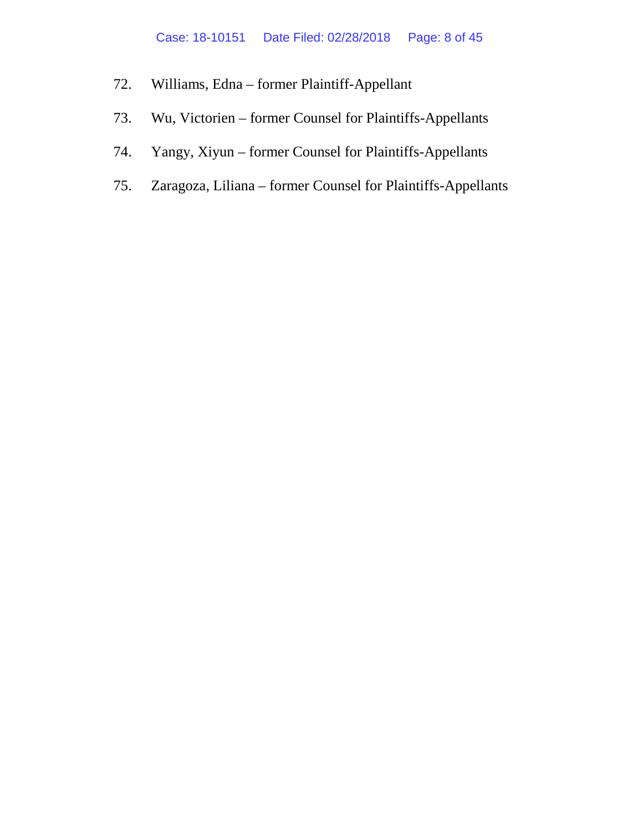- 72. Williams, Edna former Plaintiff-Appellant
- 73. Wu, Victorien former Counsel for Plaintiffs-Appellants
- 74. Yangy, Xiyun former Counsel for Plaintiffs-Appellants
- 75. Zaragoza, Liliana former Counsel for Plaintiffs-Appellants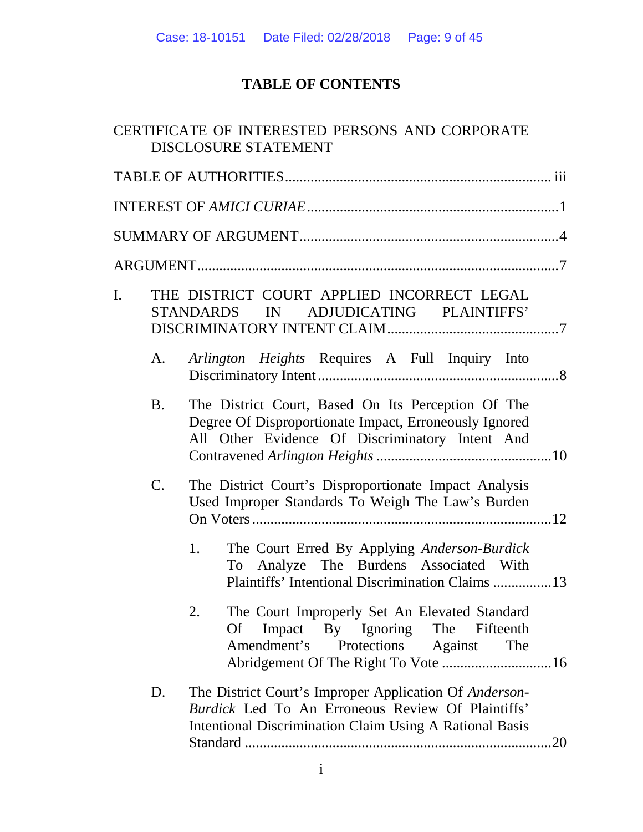# **TABLE OF CONTENTS**

|    |           | CERTIFICATE OF INTERESTED PERSONS AND CORPORATE<br><b>DISCLOSURE STATEMENT</b>                                                                                                       |
|----|-----------|--------------------------------------------------------------------------------------------------------------------------------------------------------------------------------------|
|    |           |                                                                                                                                                                                      |
|    |           |                                                                                                                                                                                      |
|    |           |                                                                                                                                                                                      |
|    |           |                                                                                                                                                                                      |
| I. |           | THE DISTRICT COURT APPLIED INCORRECT LEGAL<br>ADJUDICATING PLAINTIFFS'<br>STANDARDS IN                                                                                               |
|    | A.        | Arlington Heights Requires A Full Inquiry Into                                                                                                                                       |
|    | <b>B.</b> | The District Court, Based On Its Perception Of The<br>Degree Of Disproportionate Impact, Erroneously Ignored<br>All Other Evidence Of Discriminatory Intent And                      |
|    | C.        | The District Court's Disproportionate Impact Analysis<br>Used Improper Standards To Weigh The Law's Burden                                                                           |
|    |           | 1.<br>The Court Erred By Applying Anderson-Burdick<br>To Analyze The Burdens Associated With<br>Plaintiffs' Intentional Discrimination Claims 13                                     |
|    |           | 2.<br>The Court Improperly Set An Elevated Standard<br>Impact By Ignoring The Fifteenth<br>Of<br>Amendment's<br>Protections Against<br>The                                           |
|    | D.        | The District Court's Improper Application Of Anderson-<br>Burdick Led To An Erroneous Review Of Plaintiffs'<br><b>Intentional Discrimination Claim Using A Rational Basis</b><br>.20 |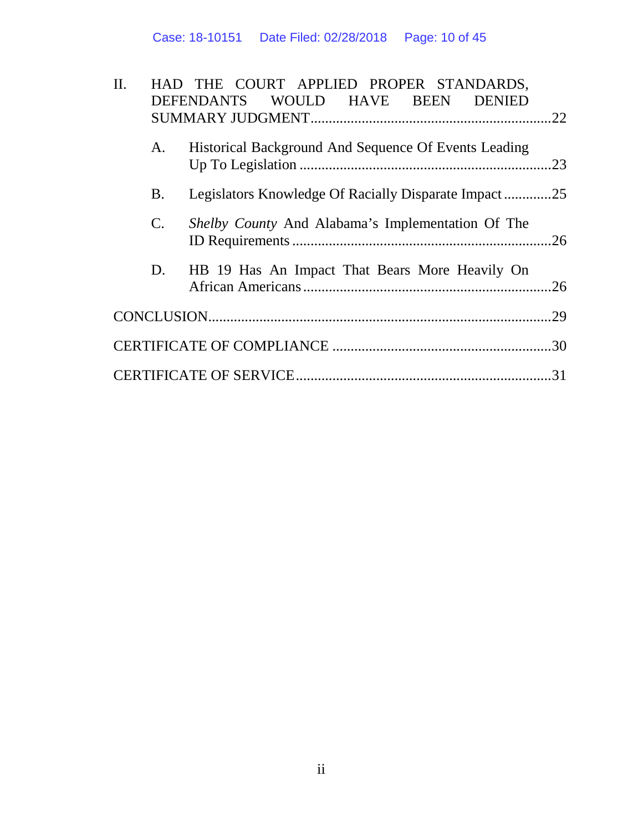| $\Pi$ . |                | HAD THE COURT APPLIED PROPER STANDARDS,<br>DEFENDANTS WOULD HAVE BEEN DENIED |     |
|---------|----------------|------------------------------------------------------------------------------|-----|
|         |                |                                                                              | .22 |
|         | A.             | Historical Background And Sequence Of Events Leading                         | .23 |
|         |                |                                                                              |     |
|         | <b>B.</b>      | Legislators Knowledge Of Racially Disparate Impact25                         |     |
|         | $\mathbf{C}$ . | Shelby County And Alabama's Implementation Of The                            |     |
|         |                |                                                                              | .26 |
|         | D.             | HB 19 Has An Impact That Bears More Heavily On                               |     |
|         |                |                                                                              | .26 |
|         |                |                                                                              | .29 |
|         |                |                                                                              |     |
|         |                |                                                                              | 31  |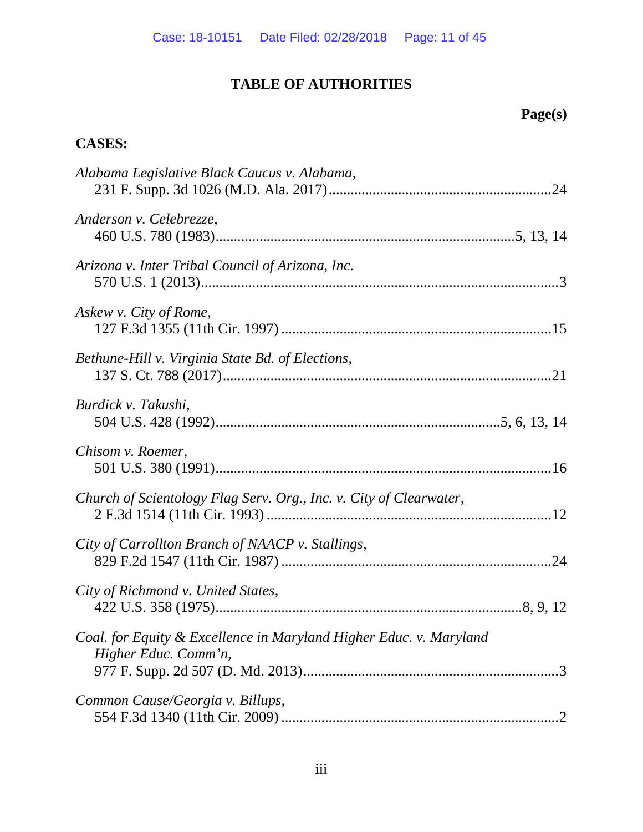# **TABLE OF AUTHORITIES**

# **Page(s)**

# **CASES:**

| Alabama Legislative Black Caucus v. Alabama,                                               |  |
|--------------------------------------------------------------------------------------------|--|
| Anderson v. Celebrezze,                                                                    |  |
| Arizona v. Inter Tribal Council of Arizona, Inc.                                           |  |
| Askew v. City of Rome,                                                                     |  |
| Bethune-Hill v. Virginia State Bd. of Elections,                                           |  |
| Burdick v. Takushi,                                                                        |  |
| Chisom v. Roemer,                                                                          |  |
| Church of Scientology Flag Serv. Org., Inc. v. City of Clearwater,                         |  |
| City of Carrollton Branch of NAACP v. Stallings,                                           |  |
| City of Richmond v. United States,                                                         |  |
| Coal. for Equity & Excellence in Maryland Higher Educ. v. Maryland<br>Higher Educ. Comm'n, |  |
| Common Cause/Georgia v. Billups,                                                           |  |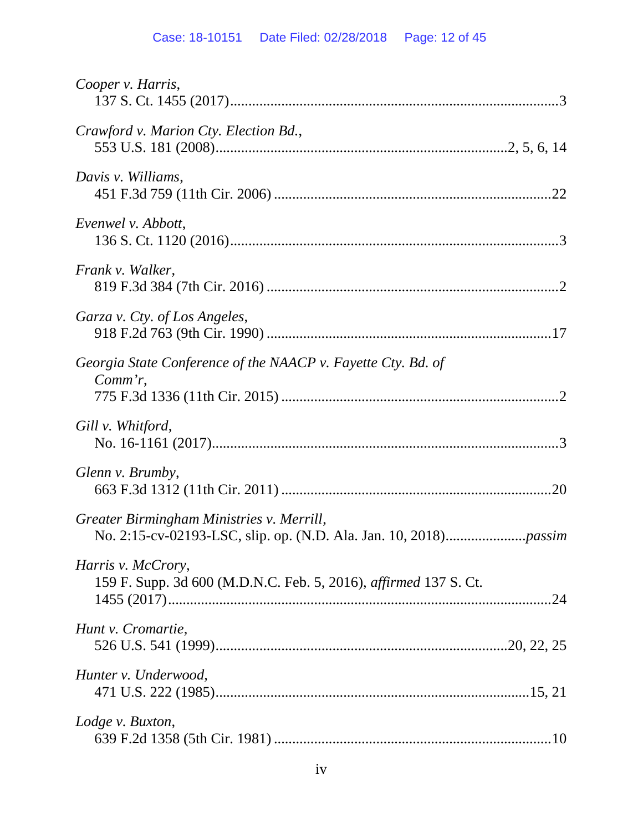# Case: 18-10151 Date Filed: 02/28/2018 Page: 12 of 45

| Cooper v. Harris,                                                                             |
|-----------------------------------------------------------------------------------------------|
| Crawford v. Marion Cty. Election Bd.,                                                         |
| Davis v. Williams,                                                                            |
| Evenwel v. Abbott,                                                                            |
| Frank v. Walker,                                                                              |
| Garza v. Cty. of Los Angeles,                                                                 |
| Georgia State Conference of the NAACP v. Fayette Cty. Bd. of<br>$Comm'r$ ,                    |
| Gill v. Whitford,                                                                             |
| Glenn v. Brumby,                                                                              |
| Greater Birmingham Ministries v. Merrill,                                                     |
| Harris v. McCrory,<br>159 F. Supp. 3d 600 (M.D.N.C. Feb. 5, 2016), <i>affirmed</i> 137 S. Ct. |
| Hunt v. Cromartie,                                                                            |
| Hunter v. Underwood,                                                                          |
| Lodge v. Buxton,                                                                              |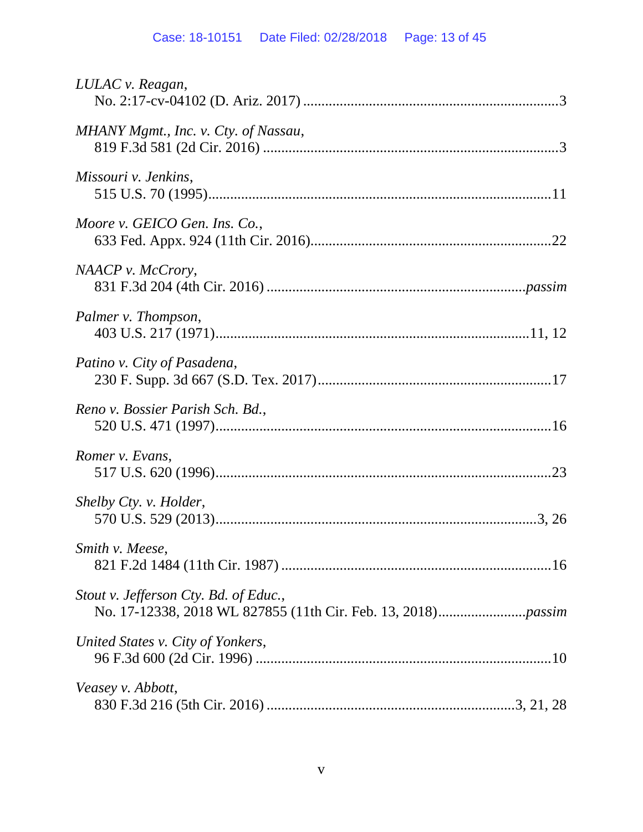# Case: 18-10151 Date Filed: 02/28/2018 Page: 13 of 45

| LULAC v. Reagan,                      |  |
|---------------------------------------|--|
| MHANY Mgmt., Inc. v. Cty. of Nassau,  |  |
| Missouri v. Jenkins,                  |  |
| Moore v. GEICO Gen. Ins. Co.,         |  |
| NAACP v. McCrory,                     |  |
| Palmer v. Thompson,                   |  |
| Patino v. City of Pasadena,           |  |
| Reno v. Bossier Parish Sch. Bd.,      |  |
| Romer v. Evans,                       |  |
| Shelby Cty. v. Holder,                |  |
| Smith v. Meese,                       |  |
| Stout v. Jefferson Cty. Bd. of Educ., |  |
| United States v. City of Yonkers,     |  |
| Veasey v. Abbott,                     |  |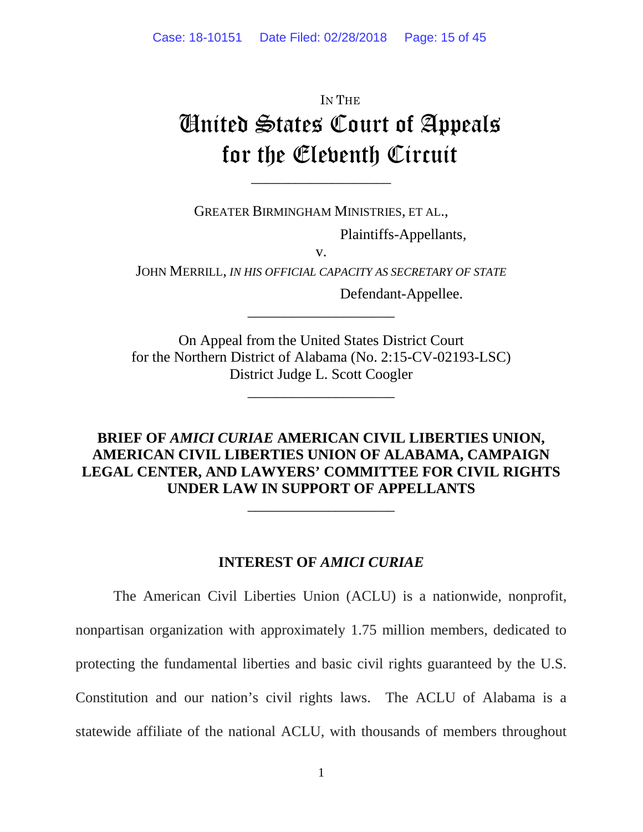# IN THE United States Court of Appeals for the Eleventh Circuit

GREATER BIRMINGHAM MINISTRIES, ET AL.,

\_\_\_\_\_\_\_\_\_\_\_\_\_\_\_\_\_\_\_

Plaintiffs-Appellants*,*

v.

JOHN MERRILL, *IN HIS OFFICIAL CAPACITY AS SECRETARY OF STATE*

\_\_\_\_\_\_\_\_\_\_\_\_\_\_\_\_\_\_\_\_

Defendant-Appellee.

On Appeal from the United States District Court for the Northern District of Alabama (No. 2:15-CV-02193-LSC) District Judge L. Scott Coogler

\_\_\_\_\_\_\_\_\_\_\_\_\_\_\_\_\_\_\_\_

# **BRIEF OF** *AMICI CURIAE* **AMERICAN CIVIL LIBERTIES UNION, AMERICAN CIVIL LIBERTIES UNION OF ALABAMA, CAMPAIGN LEGAL CENTER, AND LAWYERS' COMMITTEE FOR CIVIL RIGHTS UNDER LAW IN SUPPORT OF APPELLANTS**

\_\_\_\_\_\_\_\_\_\_\_\_\_\_\_\_\_\_\_\_

## **INTEREST OF** *AMICI CURIAE*

The American Civil Liberties Union (ACLU) is a nationwide, nonprofit, nonpartisan organization with approximately 1.75 million members, dedicated to protecting the fundamental liberties and basic civil rights guaranteed by the U.S. Constitution and our nation's civil rights laws. The ACLU of Alabama is a statewide affiliate of the national ACLU, with thousands of members throughout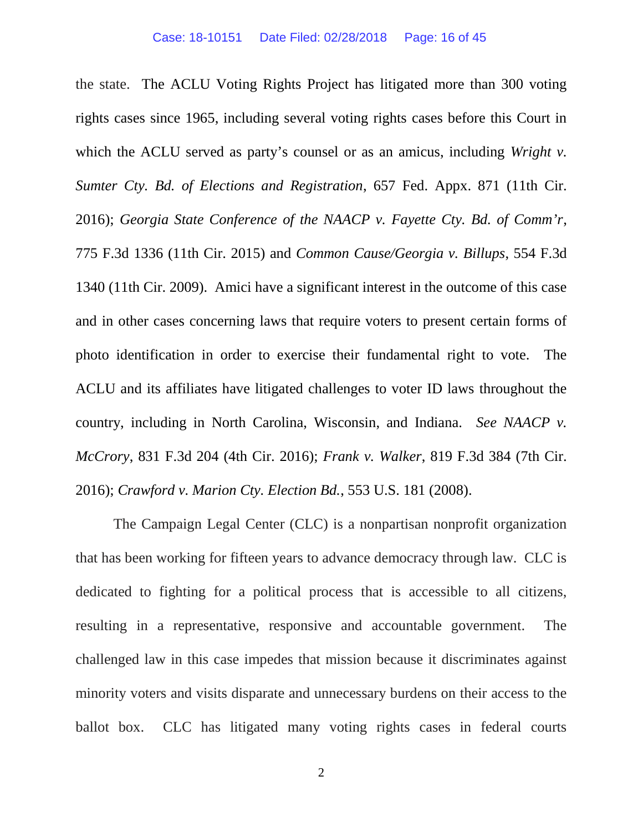the state. The ACLU Voting Rights Project has litigated more than 300 voting rights cases since 1965, including several voting rights cases before this Court in which the ACLU served as party's counsel or as an amicus, including *Wright v. Sumter Cty. Bd. of Elections and Registration*, 657 Fed. Appx. 871 (11th Cir. 2016); *Georgia State Conference of the NAACP v. Fayette Cty. Bd. of Comm'r*, 775 F.3d 1336 (11th Cir. 2015) and *Common Cause/Georgia v. Billups*, 554 F.3d 1340 (11th Cir. 2009). Amici have a significant interest in the outcome of this case and in other cases concerning laws that require voters to present certain forms of photo identification in order to exercise their fundamental right to vote. The ACLU and its affiliates have litigated challenges to voter ID laws throughout the country, including in North Carolina, Wisconsin, and Indiana. *See NAACP v. McCrory*, 831 F.3d 204 (4th Cir. 2016); *Frank v. Walker*, 819 F.3d 384 (7th Cir. 2016); *Crawford v. Marion Cty. Election Bd.*, 553 U.S. 181 (2008).

The Campaign Legal Center (CLC) is a nonpartisan nonprofit organization that has been working for fifteen years to advance democracy through law. CLC is dedicated to fighting for a political process that is accessible to all citizens, resulting in a representative, responsive and accountable government. The challenged law in this case impedes that mission because it discriminates against minority voters and visits disparate and unnecessary burdens on their access to the ballot box. CLC has litigated many voting rights cases in federal courts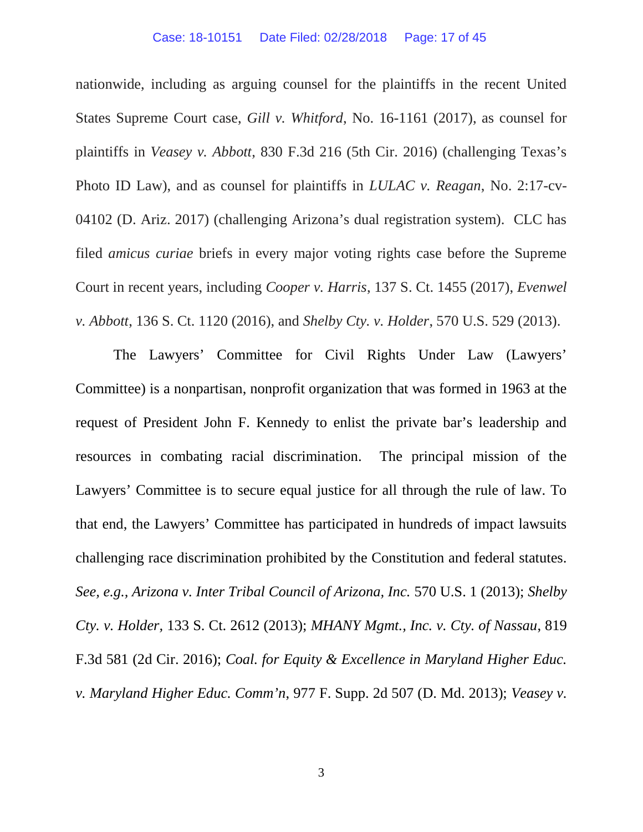nationwide, including as arguing counsel for the plaintiffs in the recent United States Supreme Court case, *Gill v. Whitford*, No. 16-1161 (2017), as counsel for plaintiffs in *Veasey v. Abbott*, 830 F.3d 216 (5th Cir. 2016) (challenging Texas's Photo ID Law), and as counsel for plaintiffs in *LULAC v. Reagan*, No. 2:17-cv-04102 (D. Ariz. 2017) (challenging Arizona's dual registration system). CLC has filed *amicus curiae* briefs in every major voting rights case before the Supreme Court in recent years, including *Cooper v. Harris*, 137 S. Ct. 1455 (2017), *Evenwel v. Abbott*, 136 S. Ct. 1120 (2016), and *Shelby Cty. v. Holder*, 570 U.S. 529 (2013).

The Lawyers' Committee for Civil Rights Under Law (Lawyers' Committee) is a nonpartisan, nonprofit organization that was formed in 1963 at the request of President John F. Kennedy to enlist the private bar's leadership and resources in combating racial discrimination. The principal mission of the Lawyers' Committee is to secure equal justice for all through the rule of law. To that end, the Lawyers' Committee has participated in hundreds of impact lawsuits challenging race discrimination prohibited by the Constitution and federal statutes. *See, e.g., Arizona v. Inter Tribal Council of Arizona, Inc.* 570 U.S. 1 (2013); *Shelby Cty. v. Holder,* 133 S. Ct. 2612 (2013); *MHANY Mgmt., Inc. v. Cty. of Nassau*, 819 F.3d 581 (2d Cir. 2016); *Coal. for Equity & Excellence in Maryland Higher Educ. v. Maryland Higher Educ. Comm'n*, 977 F. Supp. 2d 507 (D. Md. 2013); *Veasey v.*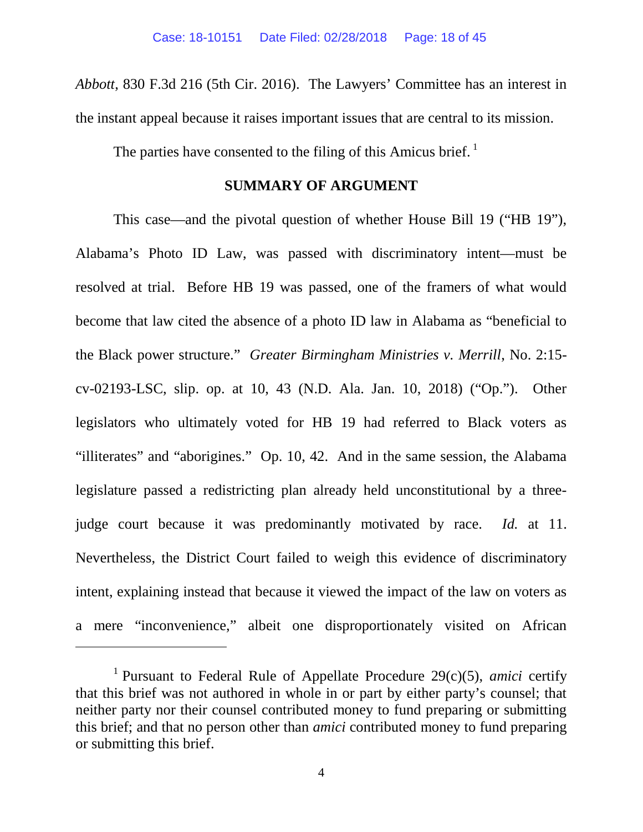*Abbott*, 830 F.3d 216 (5th Cir. 2016). The Lawyers' Committee has an interest in the instant appeal because it raises important issues that are central to its mission.

The parties have consented to the filing of this Amicus brief.<sup>1</sup>

### **SUMMARY OF ARGUMENT**

This case—and the pivotal question of whether House Bill 19 ("HB 19"), Alabama's Photo ID Law, was passed with discriminatory intent—must be resolved at trial. Before HB 19 was passed, one of the framers of what would become that law cited the absence of a photo ID law in Alabama as "beneficial to the Black power structure." *Greater Birmingham Ministries v. Merrill*, No. 2:15 cv-02193-LSC, slip. op. at 10, 43 (N.D. Ala. Jan. 10, 2018) ("Op."). Other legislators who ultimately voted for HB 19 had referred to Black voters as "illiterates" and "aborigines." Op. 10, 42. And in the same session, the Alabama legislature passed a redistricting plan already held unconstitutional by a threejudge court because it was predominantly motivated by race. *Id.* at 11. Nevertheless, the District Court failed to weigh this evidence of discriminatory intent, explaining instead that because it viewed the impact of the law on voters as a mere "inconvenience," albeit one disproportionately visited on African

<sup>1</sup> Pursuant to Federal Rule of Appellate Procedure 29(c)(5), *amici* certify that this brief was not authored in whole in or part by either party's counsel; that neither party nor their counsel contributed money to fund preparing or submitting this brief; and that no person other than *amici* contributed money to fund preparing or submitting this brief.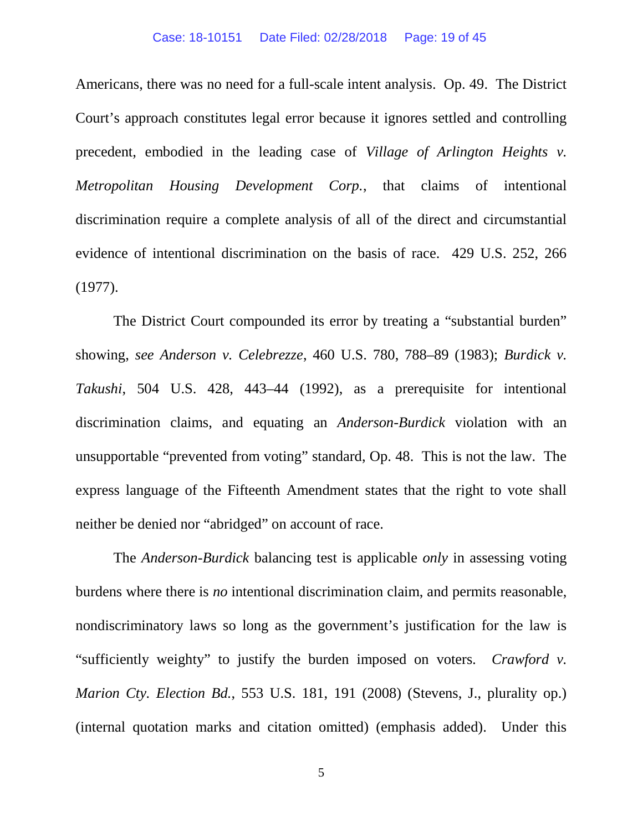#### Case: 18-10151 Date Filed: 02/28/2018 Page: 19 of 45

Americans, there was no need for a full-scale intent analysis. Op. 49. The District Court's approach constitutes legal error because it ignores settled and controlling precedent, embodied in the leading case of *Village of Arlington Heights v. Metropolitan Housing Development Corp.*, that claims of intentional discrimination require a complete analysis of all of the direct and circumstantial evidence of intentional discrimination on the basis of race. 429 U.S. 252, 266 (1977).

The District Court compounded its error by treating a "substantial burden" showing, *see Anderson v. Celebrezze*, 460 U.S. 780, 788–89 (1983); *Burdick v. Takushi*, 504 U.S. 428, 443–44 (1992), as a prerequisite for intentional discrimination claims, and equating an *Anderson-Burdick* violation with an unsupportable "prevented from voting" standard, Op. 48. This is not the law. The express language of the Fifteenth Amendment states that the right to vote shall neither be denied nor "abridged" on account of race.

The *Anderson-Burdick* balancing test is applicable *only* in assessing voting burdens where there is *no* intentional discrimination claim, and permits reasonable, nondiscriminatory laws so long as the government's justification for the law is "sufficiently weighty" to justify the burden imposed on voters*. Crawford v. Marion Cty. Election Bd.*, 553 U.S. 181, 191 (2008) (Stevens, J., plurality op.) (internal quotation marks and citation omitted) (emphasis added). Under this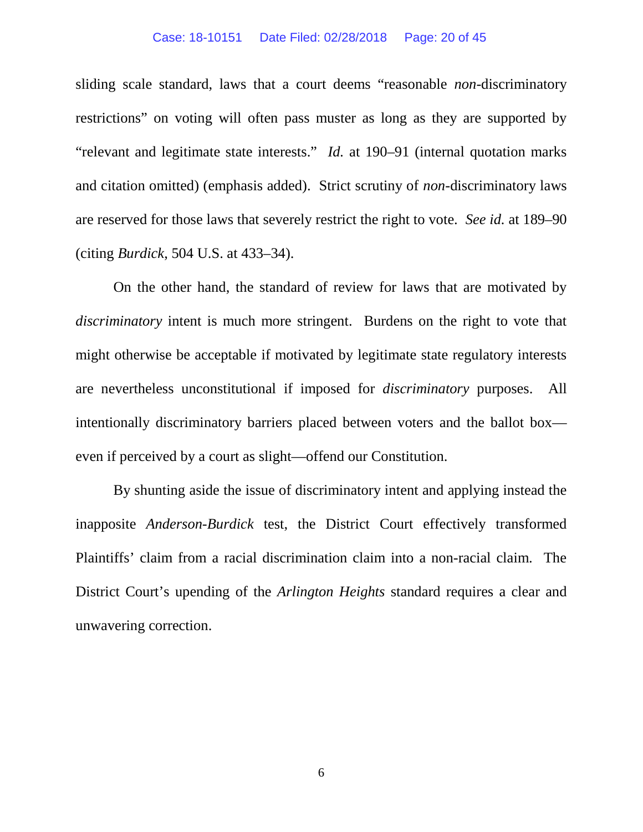#### Case: 18-10151 Date Filed: 02/28/2018 Page: 20 of 45

sliding scale standard, laws that a court deems "reasonable *non-*discriminatory restrictions" on voting will often pass muster as long as they are supported by "relevant and legitimate state interests." *Id.* at 190–91 (internal quotation marks and citation omitted) (emphasis added). Strict scrutiny of *non-*discriminatory laws are reserved for those laws that severely restrict the right to vote. *See id.* at 189–90 (citing *Burdick*, 504 U.S. at 433–34).

On the other hand, the standard of review for laws that are motivated by *discriminatory* intent is much more stringent. Burdens on the right to vote that might otherwise be acceptable if motivated by legitimate state regulatory interests are nevertheless unconstitutional if imposed for *discriminatory* purposes. All intentionally discriminatory barriers placed between voters and the ballot box even if perceived by a court as slight—offend our Constitution.

By shunting aside the issue of discriminatory intent and applying instead the inapposite *Anderson-Burdick* test, the District Court effectively transformed Plaintiffs' claim from a racial discrimination claim into a non-racial claim. The District Court's upending of the *Arlington Heights* standard requires a clear and unwavering correction.

6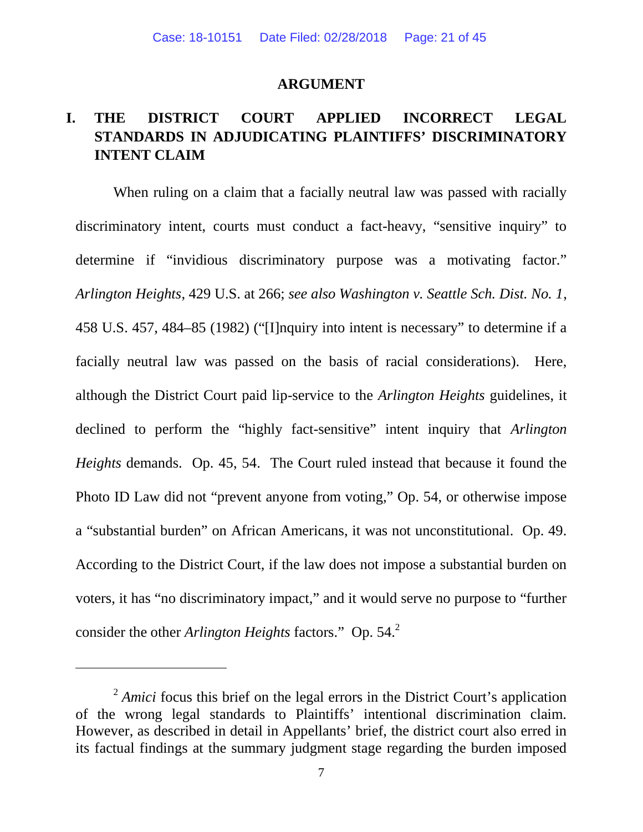#### **ARGUMENT**

# **I. THE DISTRICT COURT APPLIED INCORRECT LEGAL STANDARDS IN ADJUDICATING PLAINTIFFS' DISCRIMINATORY INTENT CLAIM**

When ruling on a claim that a facially neutral law was passed with racially discriminatory intent, courts must conduct a fact-heavy, "sensitive inquiry" to determine if "invidious discriminatory purpose was a motivating factor." *Arlington Heights*, 429 U.S. at 266; *see also Washington v. Seattle Sch. Dist. No. 1*, 458 U.S. 457, 484–85 (1982) ("[I]nquiry into intent is necessary" to determine if a facially neutral law was passed on the basis of racial considerations). Here, although the District Court paid lip-service to the *Arlington Heights* guidelines, it declined to perform the "highly fact-sensitive" intent inquiry that *Arlington Heights* demands. Op. 45, 54. The Court ruled instead that because it found the Photo ID Law did not "prevent anyone from voting," Op. 54, or otherwise impose a "substantial burden" on African Americans, it was not unconstitutional. Op. 49. According to the District Court, if the law does not impose a substantial burden on voters, it has "no discriminatory impact," and it would serve no purpose to "further consider the other *Arlington Heights* factors." Op. 54.<sup>2</sup>

<sup>&</sup>lt;sup>2</sup> Amici focus this brief on the legal errors in the District Court's application of the wrong legal standards to Plaintiffs' intentional discrimination claim. However, as described in detail in Appellants' brief, the district court also erred in its factual findings at the summary judgment stage regarding the burden imposed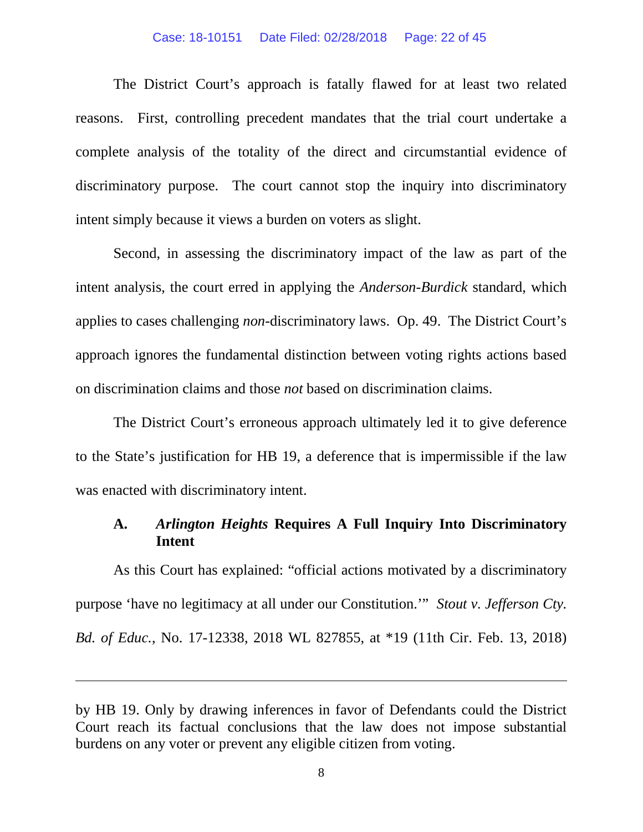#### Case: 18-10151 Date Filed: 02/28/2018 Page: 22 of 45

The District Court's approach is fatally flawed for at least two related reasons. First, controlling precedent mandates that the trial court undertake a complete analysis of the totality of the direct and circumstantial evidence of discriminatory purpose. The court cannot stop the inquiry into discriminatory intent simply because it views a burden on voters as slight.

Second, in assessing the discriminatory impact of the law as part of the intent analysis, the court erred in applying the *Anderson*-*Burdick* standard, which applies to cases challenging *non-*discriminatory laws. Op. 49. The District Court's approach ignores the fundamental distinction between voting rights actions based on discrimination claims and those *not* based on discrimination claims.

The District Court's erroneous approach ultimately led it to give deference to the State's justification for HB 19, a deference that is impermissible if the law was enacted with discriminatory intent.

# **A.** *Arlington Heights* **Requires A Full Inquiry Into Discriminatory Intent**

As this Court has explained: "official actions motivated by a discriminatory purpose 'have no legitimacy at all under our Constitution.'" *Stout v. Jefferson Cty. Bd. of Educ.*, No. 17-12338, 2018 WL 827855, at \*19 (11th Cir. Feb. 13, 2018)

by HB 19. Only by drawing inferences in favor of Defendants could the District Court reach its factual conclusions that the law does not impose substantial burdens on any voter or prevent any eligible citizen from voting.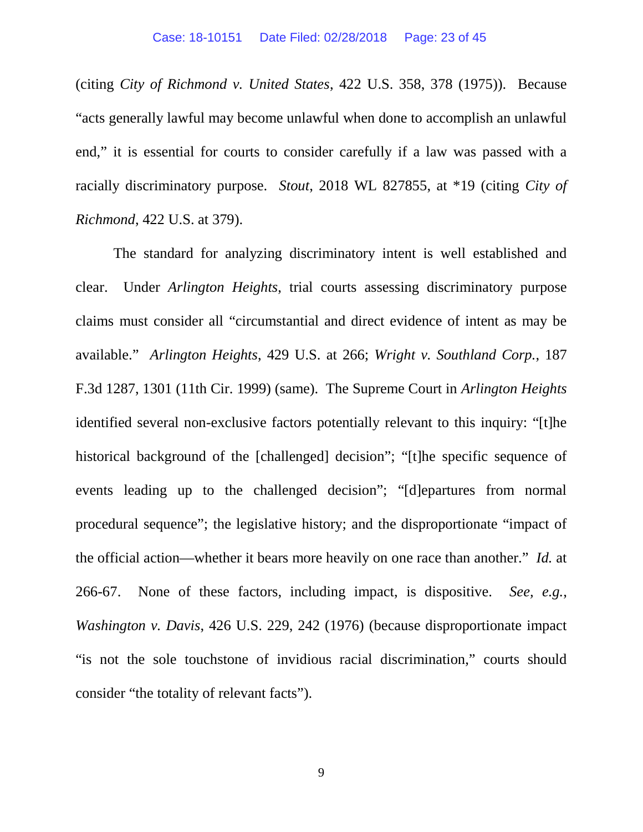(citing *City of Richmond v. United States*, 422 U.S. 358, 378 (1975)). Because "acts generally lawful may become unlawful when done to accomplish an unlawful end," it is essential for courts to consider carefully if a law was passed with a racially discriminatory purpose. *Stout*, 2018 WL 827855, at \*19 (citing *City of Richmond*, 422 U.S. at 379).

The standard for analyzing discriminatory intent is well established and clear. Under *Arlington Heights*, trial courts assessing discriminatory purpose claims must consider all "circumstantial and direct evidence of intent as may be available." *Arlington Heights*, 429 U.S. at 266; *Wright v. Southland Corp.*, 187 F.3d 1287, 1301 (11th Cir. 1999) (same). The Supreme Court in *Arlington Heights* identified several non-exclusive factors potentially relevant to this inquiry: "[t]he historical background of the [challenged] decision"; "[t]he specific sequence of events leading up to the challenged decision"; "[d]epartures from normal procedural sequence"; the legislative history; and the disproportionate "impact of the official action—whether it bears more heavily on one race than another." *Id.* at 266-67. None of these factors, including impact, is dispositive. *See, e.g.*, *Washington v. Davis*, 426 U.S. 229, 242 (1976) (because disproportionate impact "is not the sole touchstone of invidious racial discrimination," courts should consider "the totality of relevant facts").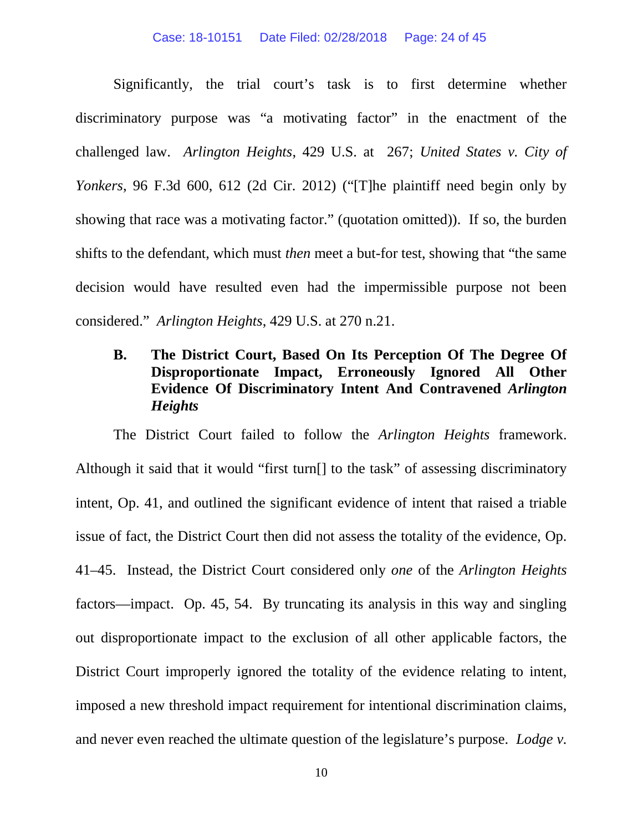#### Case: 18-10151 Date Filed: 02/28/2018 Page: 24 of 45

Significantly, the trial court's task is to first determine whether discriminatory purpose was "a motivating factor" in the enactment of the challenged law. *Arlington Heights*, 429 U.S. at 267; *United States v. City of Yonkers*, 96 F.3d 600, 612 (2d Cir. 2012) ("[T]he plaintiff need begin only by showing that race was a motivating factor." (quotation omitted)). If so, the burden shifts to the defendant, which must *then* meet a but-for test, showing that "the same decision would have resulted even had the impermissible purpose not been considered." *Arlington Heights*, 429 U.S. at 270 n.21.

# **B. The District Court, Based On Its Perception Of The Degree Of Disproportionate Impact, Erroneously Ignored All Other Evidence Of Discriminatory Intent And Contravened** *Arlington Heights*

The District Court failed to follow the *Arlington Heights* framework. Although it said that it would "first turn[] to the task" of assessing discriminatory intent, Op. 41, and outlined the significant evidence of intent that raised a triable issue of fact, the District Court then did not assess the totality of the evidence, Op. 41–45. Instead, the District Court considered only *one* of the *Arlington Heights* factors—impact. Op. 45, 54. By truncating its analysis in this way and singling out disproportionate impact to the exclusion of all other applicable factors, the District Court improperly ignored the totality of the evidence relating to intent, imposed a new threshold impact requirement for intentional discrimination claims, and never even reached the ultimate question of the legislature's purpose. *Lodge v.*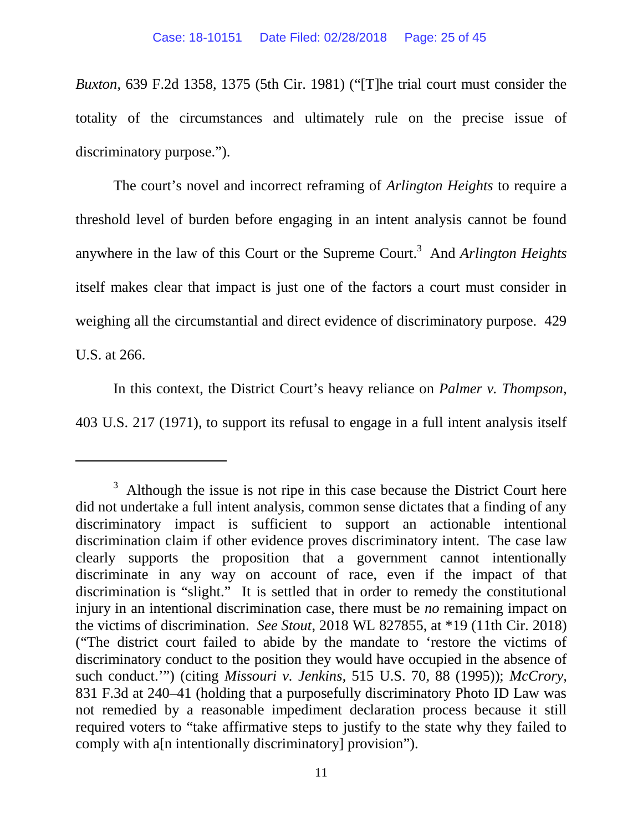*Buxton*, 639 F.2d 1358, 1375 (5th Cir. 1981) ("[T]he trial court must consider the totality of the circumstances and ultimately rule on the precise issue of discriminatory purpose.").

The court's novel and incorrect reframing of *Arlington Heights* to require a threshold level of burden before engaging in an intent analysis cannot be found anywhere in the law of this Court or the Supreme Court.<sup>3</sup> And *Arlington Heights* itself makes clear that impact is just one of the factors a court must consider in weighing all the circumstantial and direct evidence of discriminatory purpose. 429 U.S. at 266.

In this context, the District Court's heavy reliance on *Palmer v. Thompson*, 403 U.S. 217 (1971), to support its refusal to engage in a full intent analysis itself

 $3$  Although the issue is not ripe in this case because the District Court here did not undertake a full intent analysis, common sense dictates that a finding of any discriminatory impact is sufficient to support an actionable intentional discrimination claim if other evidence proves discriminatory intent. The case law clearly supports the proposition that a government cannot intentionally discriminate in any way on account of race, even if the impact of that discrimination is "slight." It is settled that in order to remedy the constitutional injury in an intentional discrimination case, there must be *no* remaining impact on the victims of discrimination. *See Stout*, 2018 WL 827855, at \*19 (11th Cir. 2018) ("The district court failed to abide by the mandate to 'restore the victims of discriminatory conduct to the position they would have occupied in the absence of such conduct.'") (citing *Missouri v. Jenkins*, 515 U.S. 70, 88 (1995)); *McCrory,* 831 F.3d at 240–41 (holding that a purposefully discriminatory Photo ID Law was not remedied by a reasonable impediment declaration process because it still required voters to "take affirmative steps to justify to the state why they failed to comply with a[n intentionally discriminatory] provision").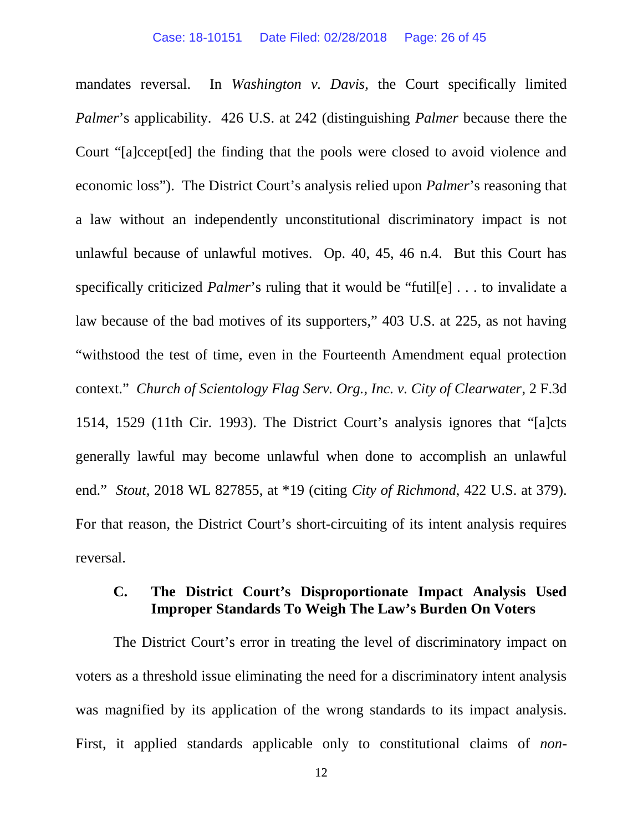mandates reversal. In *Washington v. Davis*, the Court specifically limited *Palmer*'s applicability. 426 U.S. at 242 (distinguishing *Palmer* because there the Court "[a]ccept[ed] the finding that the pools were closed to avoid violence and economic loss"). The District Court's analysis relied upon *Palmer*'s reasoning that a law without an independently unconstitutional discriminatory impact is not unlawful because of unlawful motives. Op. 40, 45, 46 n.4. But this Court has specifically criticized *Palmer*'s ruling that it would be "futil[e] . . . to invalidate a law because of the bad motives of its supporters," 403 U.S. at 225, as not having "withstood the test of time, even in the Fourteenth Amendment equal protection context." *Church of Scientology Flag Serv. Org., Inc. v. City of Clearwater*, 2 F.3d 1514, 1529 (11th Cir. 1993). The District Court's analysis ignores that "[a]cts generally lawful may become unlawful when done to accomplish an unlawful end." *Stout,* 2018 WL 827855, at \*19 (citing *City of Richmond*, 422 U.S. at 379). For that reason, the District Court's short-circuiting of its intent analysis requires reversal.

## **C. The District Court's Disproportionate Impact Analysis Used Improper Standards To Weigh The Law's Burden On Voters**

The District Court's error in treating the level of discriminatory impact on voters as a threshold issue eliminating the need for a discriminatory intent analysis was magnified by its application of the wrong standards to its impact analysis. First, it applied standards applicable only to constitutional claims of *non-*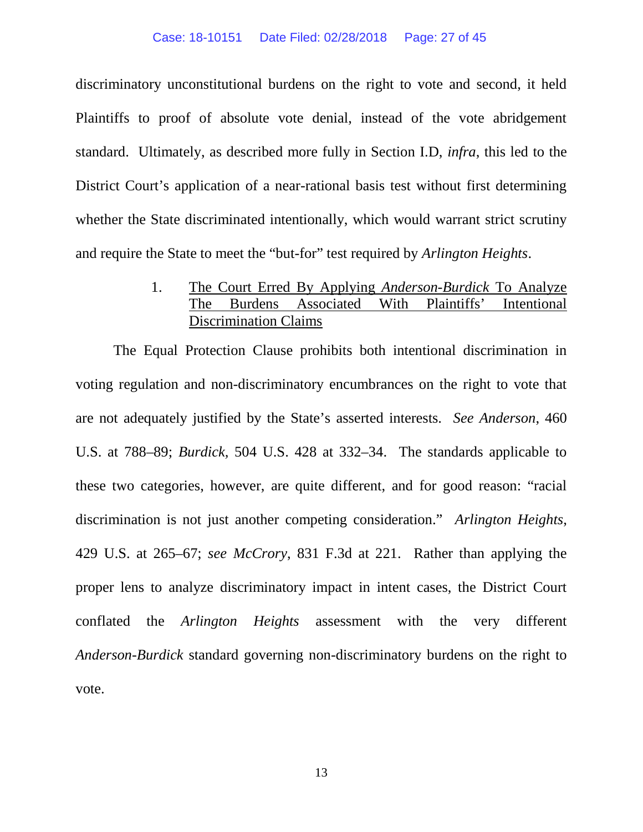#### Case: 18-10151 Date Filed: 02/28/2018 Page: 27 of 45

discriminatory unconstitutional burdens on the right to vote and second, it held Plaintiffs to proof of absolute vote denial, instead of the vote abridgement standard. Ultimately, as described more fully in Section I.D, *infra*, this led to the District Court's application of a near-rational basis test without first determining whether the State discriminated intentionally, which would warrant strict scrutiny and require the State to meet the "but-for" test required by *Arlington Heights*.

> 1. The Court Erred By Applying *Anderson-Burdick* To Analyze The Burdens Associated With Plaintiffs' Intentional Discrimination Claims

The Equal Protection Clause prohibits both intentional discrimination in voting regulation and non-discriminatory encumbrances on the right to vote that are not adequately justified by the State's asserted interests. *See Anderson*, 460 U.S. at 788–89; *Burdick,* 504 U.S. 428 at 332–34. The standards applicable to these two categories, however, are quite different, and for good reason: "racial discrimination is not just another competing consideration." *Arlington Heights*, 429 U.S. at 265–67; *see McCrory*, 831 F.3d at 221. Rather than applying the proper lens to analyze discriminatory impact in intent cases, the District Court conflated the *Arlington Heights* assessment with the very different *Anderson-Burdick* standard governing non-discriminatory burdens on the right to vote.

13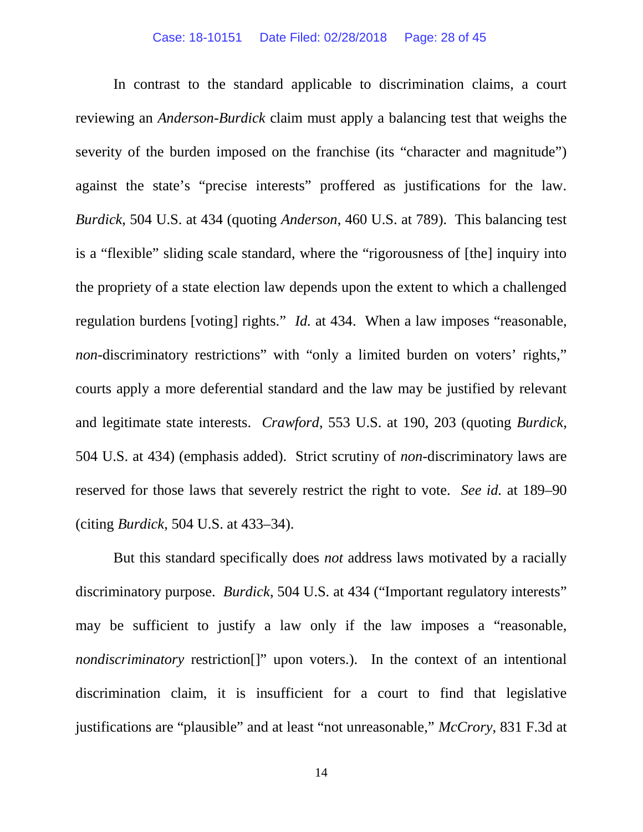#### Case: 18-10151 Date Filed: 02/28/2018 Page: 28 of 45

In contrast to the standard applicable to discrimination claims, a court reviewing an *Anderson-Burdick* claim must apply a balancing test that weighs the severity of the burden imposed on the franchise (its "character and magnitude") against the state's "precise interests" proffered as justifications for the law. *Burdick*, 504 U.S. at 434 (quoting *Anderson*, 460 U.S. at 789). This balancing test is a "flexible" sliding scale standard, where the "rigorousness of [the] inquiry into the propriety of a state election law depends upon the extent to which a challenged regulation burdens [voting] rights." *Id.* at 434. When a law imposes "reasonable, *non*-discriminatory restrictions" with "only a limited burden on voters' rights," courts apply a more deferential standard and the law may be justified by relevant and legitimate state interests. *Crawford*, 553 U.S. at 190, 203 (quoting *Burdick*, 504 U.S. at 434) (emphasis added). Strict scrutiny of *non-*discriminatory laws are reserved for those laws that severely restrict the right to vote. *See id.* at 189–90 (citing *Burdick*, 504 U.S. at 433–34).

But this standard specifically does *not* address laws motivated by a racially discriminatory purpose. *Burdick*, 504 U.S. at 434 ("Important regulatory interests" may be sufficient to justify a law only if the law imposes a "reasonable, *nondiscriminatory* restriction<sup>[]"</sup> upon voters.). In the context of an intentional discrimination claim, it is insufficient for a court to find that legislative justifications are "plausible" and at least "not unreasonable," *McCrory*, 831 F.3d at

14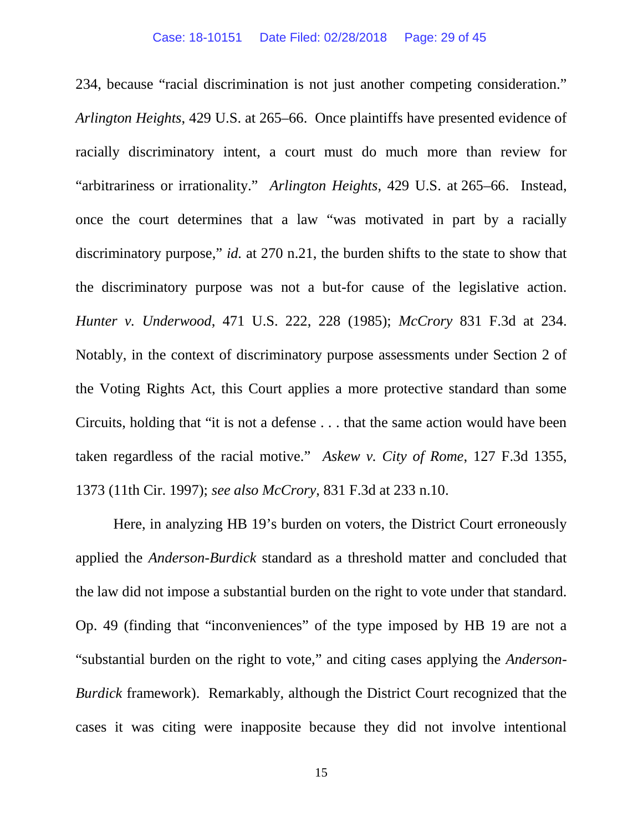234, because "racial discrimination is not just another competing consideration." *Arlington Heights*, 429 U.S. at 265–66. Once plaintiffs have presented evidence of racially discriminatory intent, a court must do much more than review for "arbitrariness or irrationality." *Arlington Heights*, 429 U.S. at 265–66. Instead, once the court determines that a law "was motivated in part by a racially discriminatory purpose," *id.* at 270 n.21, the burden shifts to the state to show that the discriminatory purpose was not a but-for cause of the legislative action. *Hunter v. Underwood*, 471 U.S. 222, 228 (1985); *McCrory* 831 F.3d at 234. Notably, in the context of discriminatory purpose assessments under Section 2 of the Voting Rights Act, this Court applies a more protective standard than some Circuits, holding that "it is not a defense . . . that the same action would have been taken regardless of the racial motive." *Askew v. City of Rome*, 127 F.3d 1355, 1373 (11th Cir. 1997); *see also McCrory*, 831 F.3d at 233 n.10.

Here, in analyzing HB 19's burden on voters, the District Court erroneously applied the *Anderson-Burdick* standard as a threshold matter and concluded that the law did not impose a substantial burden on the right to vote under that standard. Op. 49 (finding that "inconveniences" of the type imposed by HB 19 are not a "substantial burden on the right to vote," and citing cases applying the *Anderson-Burdick* framework). Remarkably, although the District Court recognized that the cases it was citing were inapposite because they did not involve intentional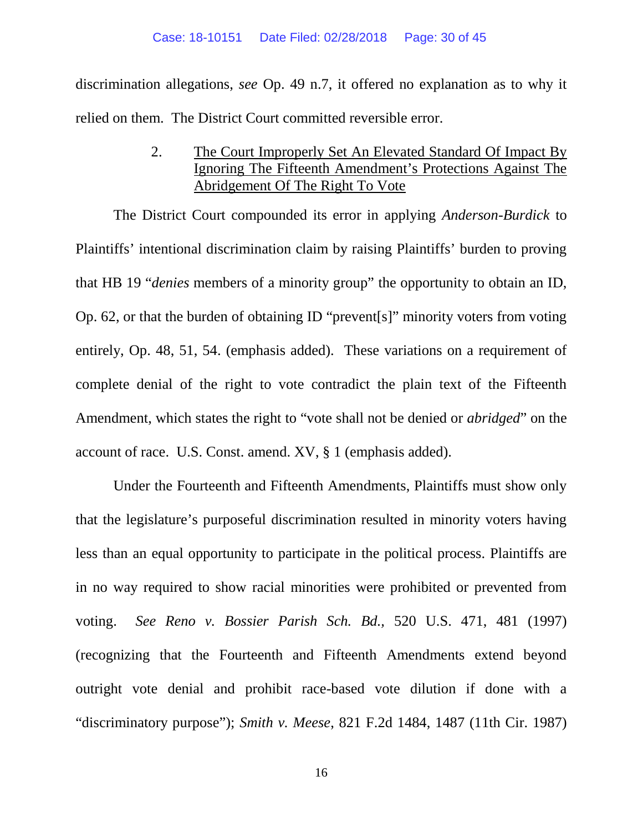discrimination allegations, *see* Op. 49 n.7, it offered no explanation as to why it relied on them. The District Court committed reversible error.

> 2. The Court Improperly Set An Elevated Standard Of Impact By Ignoring The Fifteenth Amendment's Protections Against The Abridgement Of The Right To Vote

The District Court compounded its error in applying *Anderson-Burdick* to Plaintiffs' intentional discrimination claim by raising Plaintiffs' burden to proving that HB 19 "*denies* members of a minority group" the opportunity to obtain an ID, Op. 62, or that the burden of obtaining ID "prevent[s]" minority voters from voting entirely, Op. 48, 51, 54. (emphasis added). These variations on a requirement of complete denial of the right to vote contradict the plain text of the Fifteenth Amendment, which states the right to "vote shall not be denied or *abridged*" on the account of race. U.S. Const. amend. XV, § 1 (emphasis added).

Under the Fourteenth and Fifteenth Amendments, Plaintiffs must show only that the legislature's purposeful discrimination resulted in minority voters having less than an equal opportunity to participate in the political process. Plaintiffs are in no way required to show racial minorities were prohibited or prevented from voting. *See Reno v. Bossier Parish Sch. Bd.,* 520 U.S. 471, 481 (1997) (recognizing that the Fourteenth and Fifteenth Amendments extend beyond outright vote denial and prohibit race-based vote dilution if done with a "discriminatory purpose"); *Smith v. Meese*, 821 F.2d 1484, 1487 (11th Cir. 1987)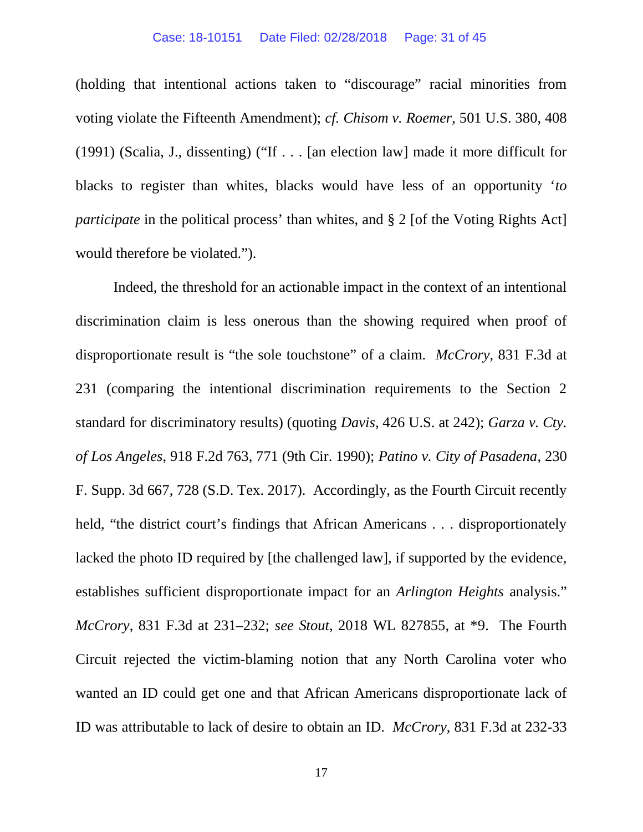(holding that intentional actions taken to "discourage" racial minorities from voting violate the Fifteenth Amendment); *cf. Chisom v. Roemer*, 501 U.S. 380, 408 (1991) (Scalia, J., dissenting) ("If . . . [an election law] made it more difficult for blacks to register than whites, blacks would have less of an opportunity '*to participate* in the political process' than whites, and § 2 [of the Voting Rights Act] would therefore be violated.").

Indeed, the threshold for an actionable impact in the context of an intentional discrimination claim is less onerous than the showing required when proof of disproportionate result is "the sole touchstone" of a claim. *McCrory*, 831 F.3d at 231 (comparing the intentional discrimination requirements to the Section 2 standard for discriminatory results) (quoting *Davis*, 426 U.S. at 242); *Garza v. Cty. of Los Angeles*, 918 F.2d 763, 771 (9th Cir. 1990); *Patino v. City of Pasadena*, 230 F. Supp. 3d 667, 728 (S.D. Tex. 2017). Accordingly, as the Fourth Circuit recently held, "the district court's findings that African Americans . . . disproportionately lacked the photo ID required by [the challenged law], if supported by the evidence, establishes sufficient disproportionate impact for an *Arlington Heights* analysis." *McCrory*, 831 F.3d at 231–232; *see Stout*, 2018 WL 827855, at \*9. The Fourth Circuit rejected the victim-blaming notion that any North Carolina voter who wanted an ID could get one and that African Americans disproportionate lack of ID was attributable to lack of desire to obtain an ID. *McCrory*, 831 F.3d at 232-33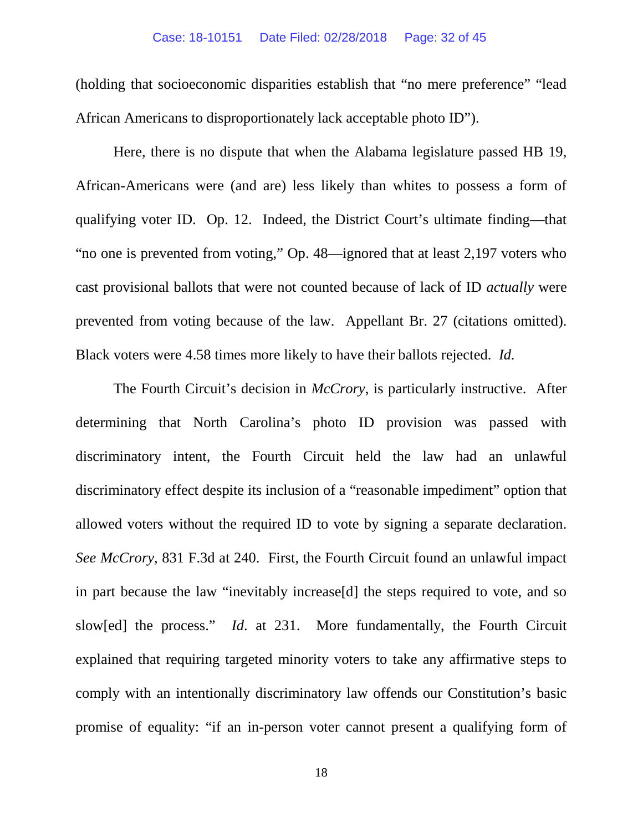#### Case: 18-10151 Date Filed: 02/28/2018 Page: 32 of 45

(holding that socioeconomic disparities establish that "no mere preference" "lead African Americans to disproportionately lack acceptable photo ID").

Here, there is no dispute that when the Alabama legislature passed HB 19, African-Americans were (and are) less likely than whites to possess a form of qualifying voter ID. Op. 12. Indeed, the District Court's ultimate finding—that "no one is prevented from voting," Op. 48—ignored that at least 2,197 voters who cast provisional ballots that were not counted because of lack of ID *actually* were prevented from voting because of the law. Appellant Br. 27 (citations omitted). Black voters were 4.58 times more likely to have their ballots rejected. *Id.*

The Fourth Circuit's decision in *McCrory*, is particularly instructive. After determining that North Carolina's photo ID provision was passed with discriminatory intent, the Fourth Circuit held the law had an unlawful discriminatory effect despite its inclusion of a "reasonable impediment" option that allowed voters without the required ID to vote by signing a separate declaration. *See McCrory*, 831 F.3d at 240. First, the Fourth Circuit found an unlawful impact in part because the law "inevitably increase[d] the steps required to vote, and so slow[ed] the process." *Id*. at 231. More fundamentally, the Fourth Circuit explained that requiring targeted minority voters to take any affirmative steps to comply with an intentionally discriminatory law offends our Constitution's basic promise of equality: "if an in-person voter cannot present a qualifying form of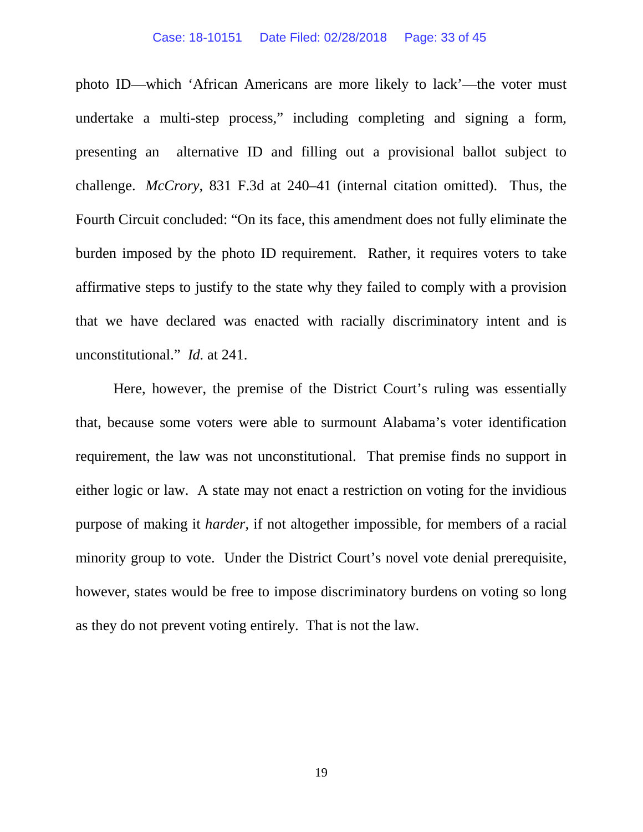#### Case: 18-10151 Date Filed: 02/28/2018 Page: 33 of 45

photo ID—which 'African Americans are more likely to lack'—the voter must undertake a multi-step process," including completing and signing a form, presenting an alternative ID and filling out a provisional ballot subject to challenge. *McCrory,* 831 F.3d at 240–41 (internal citation omitted). Thus, the Fourth Circuit concluded: "On its face, this amendment does not fully eliminate the burden imposed by the photo ID requirement. Rather, it requires voters to take affirmative steps to justify to the state why they failed to comply with a provision that we have declared was enacted with racially discriminatory intent and is unconstitutional." *Id.* at 241.

Here, however, the premise of the District Court's ruling was essentially that, because some voters were able to surmount Alabama's voter identification requirement, the law was not unconstitutional. That premise finds no support in either logic or law. A state may not enact a restriction on voting for the invidious purpose of making it *harder*, if not altogether impossible, for members of a racial minority group to vote. Under the District Court's novel vote denial prerequisite, however, states would be free to impose discriminatory burdens on voting so long as they do not prevent voting entirely. That is not the law.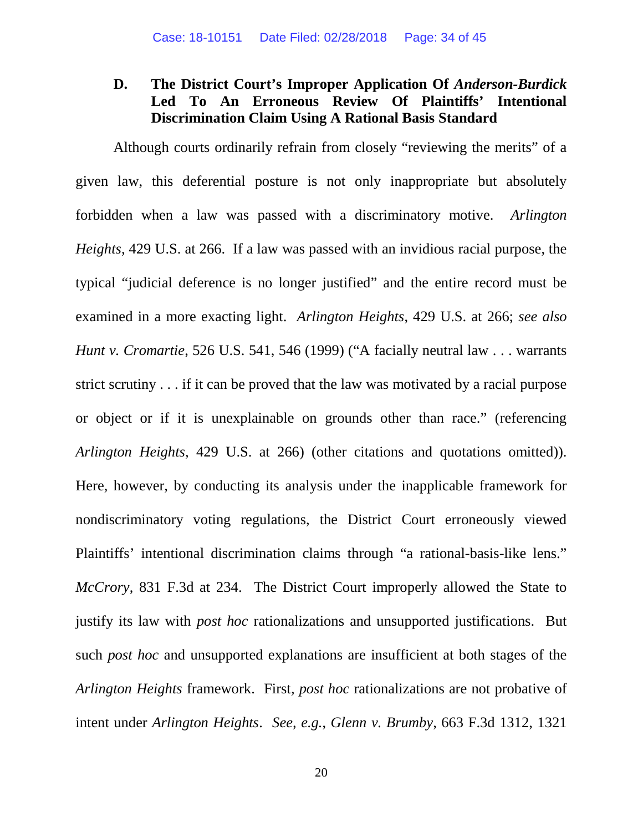# **D. The District Court's Improper Application Of** *Anderson-Burdick* **Led To An Erroneous Review Of Plaintiffs' Intentional Discrimination Claim Using A Rational Basis Standard**

Although courts ordinarily refrain from closely "reviewing the merits" of a given law, this deferential posture is not only inappropriate but absolutely forbidden when a law was passed with a discriminatory motive. *Arlington Heights*, 429 U.S. at 266. If a law was passed with an invidious racial purpose, the typical "judicial deference is no longer justified" and the entire record must be examined in a more exacting light. *Arlington Heights*, 429 U.S. at 266; *see also Hunt v. Cromartie*, 526 U.S. 541, 546 (1999) ("A facially neutral law . . . warrants strict scrutiny . . . if it can be proved that the law was motivated by a racial purpose or object or if it is unexplainable on grounds other than race." (referencing *Arlington Heights*, 429 U.S. at 266) (other citations and quotations omitted)). Here, however, by conducting its analysis under the inapplicable framework for nondiscriminatory voting regulations, the District Court erroneously viewed Plaintiffs' intentional discrimination claims through "a rational-basis-like lens." *McCrory*, 831 F.3d at 234. The District Court improperly allowed the State to justify its law with *post hoc* rationalizations and unsupported justifications. But such *post hoc* and unsupported explanations are insufficient at both stages of the *Arlington Heights* framework. First*, post hoc* rationalizations are not probative of intent under *Arlington Heights*. *See, e.g.*, *Glenn v. Brumby*, 663 F.3d 1312, 1321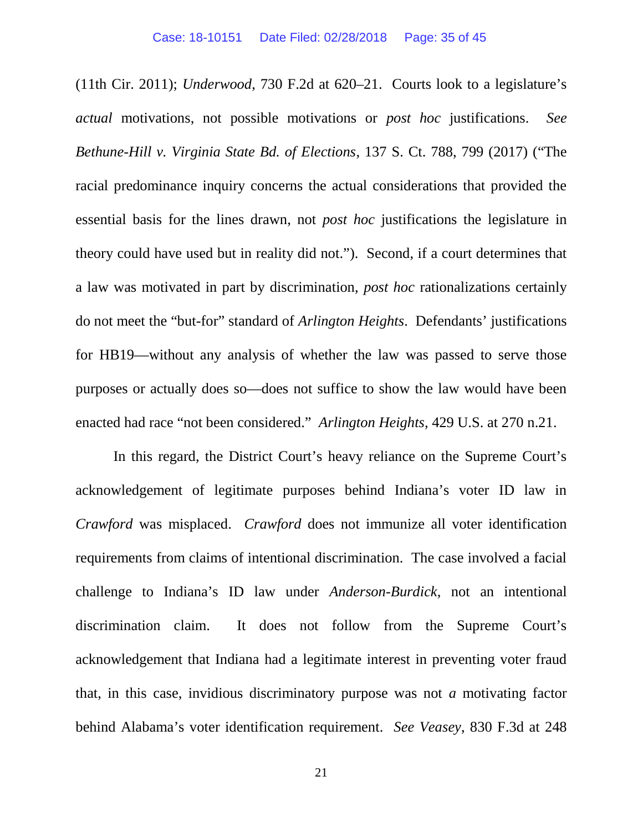(11th Cir. 2011); *Underwood*, 730 F.2d at 620–21. Courts look to a legislature's *actual* motivations, not possible motivations or *post hoc* justifications. *See Bethune-Hill v. Virginia State Bd. of Elections*, 137 S. Ct. 788, 799 (2017) ("The racial predominance inquiry concerns the actual considerations that provided the essential basis for the lines drawn, not *post hoc* justifications the legislature in theory could have used but in reality did not."). Second, if a court determines that a law was motivated in part by discrimination, *post hoc* rationalizations certainly do not meet the "but-for" standard of *Arlington Heights*. Defendants' justifications for HB19—without any analysis of whether the law was passed to serve those purposes or actually does so—does not suffice to show the law would have been enacted had race "not been considered." *Arlington Heights*, 429 U.S. at 270 n.21.

In this regard, the District Court's heavy reliance on the Supreme Court's acknowledgement of legitimate purposes behind Indiana's voter ID law in *Crawford* was misplaced. *Crawford* does not immunize all voter identification requirements from claims of intentional discrimination. The case involved a facial challenge to Indiana's ID law under *Anderson-Burdick*, not an intentional discrimination claim. It does not follow from the Supreme Court's acknowledgement that Indiana had a legitimate interest in preventing voter fraud that, in this case, invidious discriminatory purpose was not *a* motivating factor behind Alabama's voter identification requirement. *See Veasey*, 830 F.3d at 248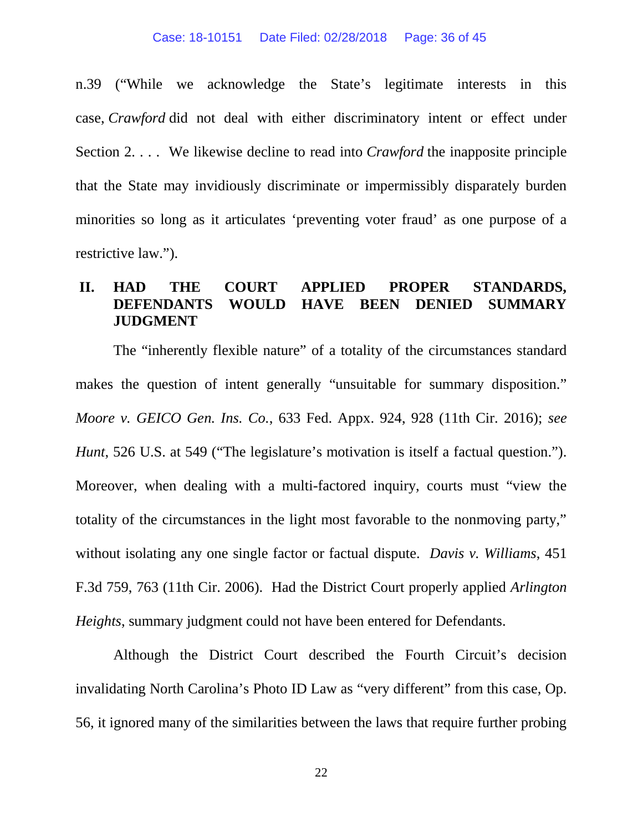n.39 ("While we acknowledge the State's legitimate interests in this case, *Crawford* did not deal with either discriminatory intent or effect under Section 2. . . . We likewise decline to read into *Crawford* the inapposite principle that the State may invidiously discriminate or impermissibly disparately burden minorities so long as it articulates 'preventing voter fraud' as one purpose of a restrictive law.").

## **II. HAD THE COURT APPLIED PROPER STANDARDS, DEFENDANTS WOULD HAVE BEEN DENIED SUMMARY JUDGMENT**

The "inherently flexible nature" of a totality of the circumstances standard makes the question of intent generally "unsuitable for summary disposition." *Moore v. GEICO Gen. Ins. Co.*, 633 Fed. Appx. 924, 928 (11th Cir. 2016); *see Hunt*, 526 U.S. at 549 ("The legislature's motivation is itself a factual question."). Moreover, when dealing with a multi-factored inquiry, courts must "view the totality of the circumstances in the light most favorable to the nonmoving party," without isolating any one single factor or factual dispute. *Davis v. Williams*, 451 F.3d 759, 763 (11th Cir. 2006). Had the District Court properly applied *Arlington Heights*, summary judgment could not have been entered for Defendants.

Although the District Court described the Fourth Circuit's decision invalidating North Carolina's Photo ID Law as "very different" from this case, Op. 56, it ignored many of the similarities between the laws that require further probing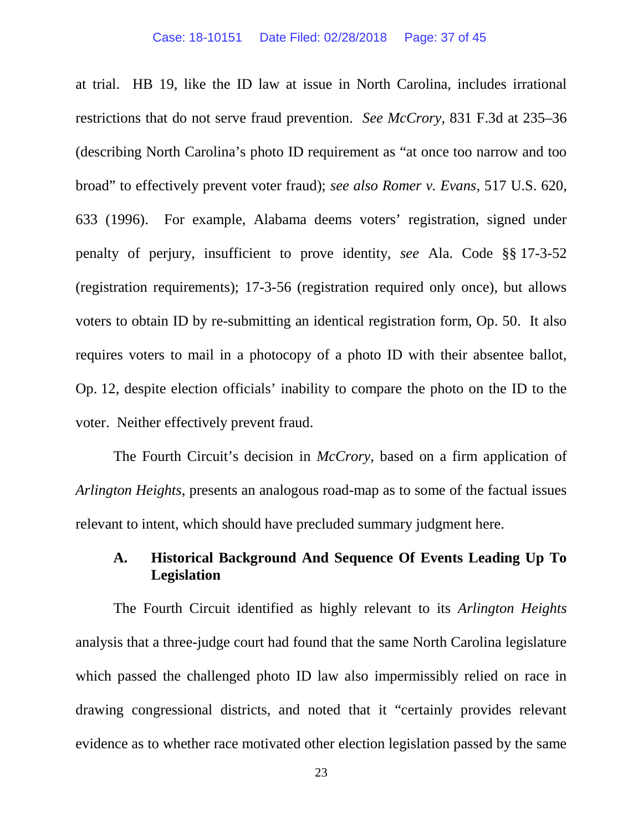at trial. HB 19, like the ID law at issue in North Carolina, includes irrational restrictions that do not serve fraud prevention. *See McCrory*, 831 F.3d at 235–36 (describing North Carolina's photo ID requirement as "at once too narrow and too broad" to effectively prevent voter fraud); *see also Romer v. Evans*, 517 U.S. 620, 633 (1996). For example, Alabama deems voters' registration, signed under penalty of perjury, insufficient to prove identity, *see* Ala. Code §§ 17-3-52 (registration requirements); 17-3-56 (registration required only once), but allows voters to obtain ID by re-submitting an identical registration form, Op. 50. It also requires voters to mail in a photocopy of a photo ID with their absentee ballot, Op. 12, despite election officials' inability to compare the photo on the ID to the voter. Neither effectively prevent fraud.

The Fourth Circuit's decision in *McCrory*, based on a firm application of *Arlington Heights*, presents an analogous road-map as to some of the factual issues relevant to intent, which should have precluded summary judgment here.

# **A. Historical Background And Sequence Of Events Leading Up To Legislation**

The Fourth Circuit identified as highly relevant to its *Arlington Heights* analysis that a three-judge court had found that the same North Carolina legislature which passed the challenged photo ID law also impermissibly relied on race in drawing congressional districts, and noted that it "certainly provides relevant evidence as to whether race motivated other election legislation passed by the same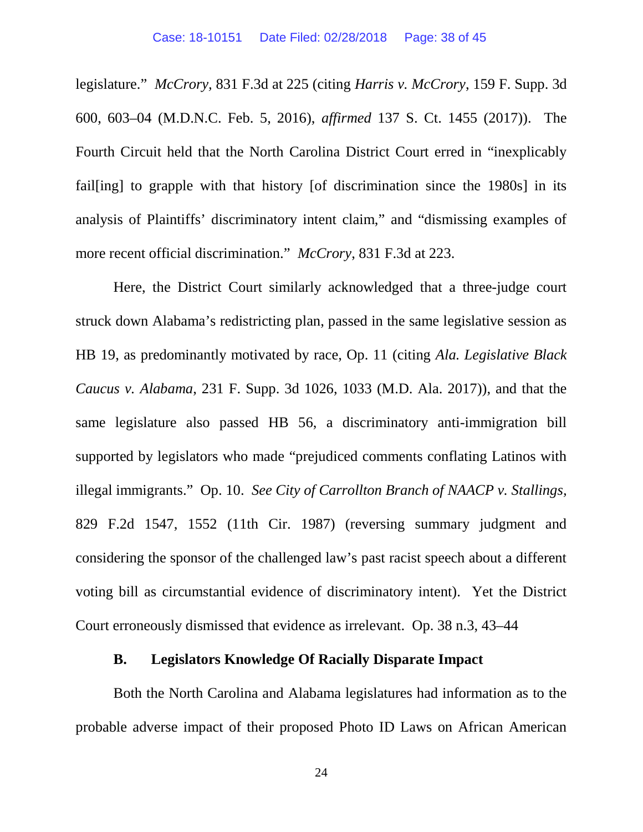legislature." *McCrory,* 831 F.3d at 225 (citing *Harris v. McCrory*, 159 F. Supp. 3d 600, 603–04 (M.D.N.C. Feb. 5, 2016), *affirmed* 137 S. Ct. 1455 (2017)). The Fourth Circuit held that the North Carolina District Court erred in "inexplicably fail[ing] to grapple with that history [of discrimination since the 1980s] in its analysis of Plaintiffs' discriminatory intent claim," and "dismissing examples of more recent official discrimination." *McCrory*, 831 F.3d at 223.

Here, the District Court similarly acknowledged that a three-judge court struck down Alabama's redistricting plan, passed in the same legislative session as HB 19, as predominantly motivated by race, Op. 11 (citing *Ala. Legislative Black Caucus v. Alabama*, 231 F. Supp. 3d 1026, 1033 (M.D. Ala. 2017)), and that the same legislature also passed HB 56, a discriminatory anti-immigration bill supported by legislators who made "prejudiced comments conflating Latinos with illegal immigrants." Op. 10. *See City of Carrollton Branch of NAACP v. Stallings,* 829 F.2d 1547, 1552 (11th Cir. 1987) (reversing summary judgment and considering the sponsor of the challenged law's past racist speech about a different voting bill as circumstantial evidence of discriminatory intent). Yet the District Court erroneously dismissed that evidence as irrelevant. Op. 38 n.3, 43–44

### **B. Legislators Knowledge Of Racially Disparate Impact**

Both the North Carolina and Alabama legislatures had information as to the probable adverse impact of their proposed Photo ID Laws on African American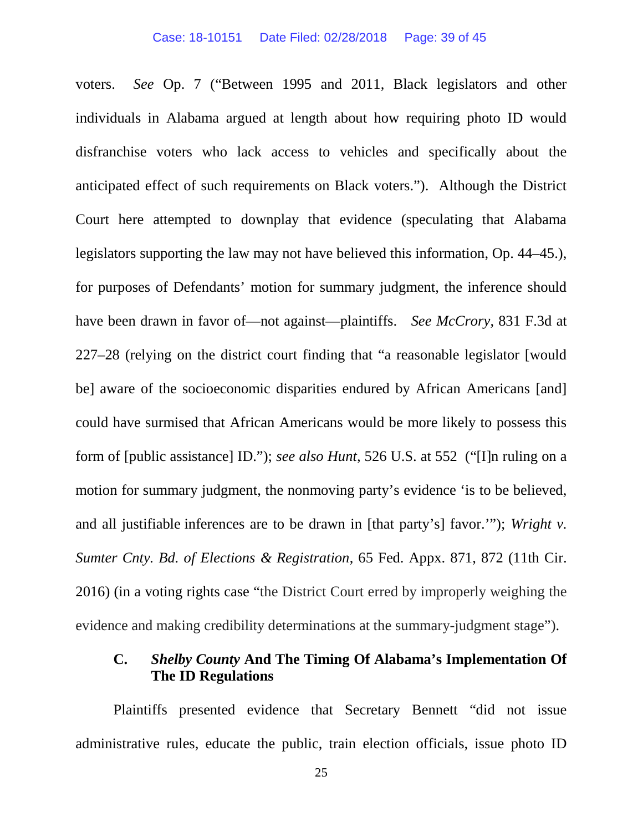voters. *See* Op. 7 ("Between 1995 and 2011, Black legislators and other individuals in Alabama argued at length about how requiring photo ID would disfranchise voters who lack access to vehicles and specifically about the anticipated effect of such requirements on Black voters."). Although the District Court here attempted to downplay that evidence (speculating that Alabama legislators supporting the law may not have believed this information, Op. 44–45.), for purposes of Defendants' motion for summary judgment, the inference should have been drawn in favor of—not against—plaintiffs. *See McCrory*, 831 F.3d at 227–28 (relying on the district court finding that "a reasonable legislator [would be] aware of the socioeconomic disparities endured by African Americans [and] could have surmised that African Americans would be more likely to possess this form of [public assistance] ID."); *see also Hunt,* 526 U.S. at 552 ("[I]n ruling on a motion for summary judgment, the nonmoving party's evidence 'is to be believed, and all justifiable inferences are to be drawn in [that party's] favor.'"); *Wright v. Sumter Cnty. Bd. of Elections & Registration*, 65 Fed. Appx. 871, 872 (11th Cir. 2016) (in a voting rights case "the District Court erred by improperly weighing the evidence and making credibility determinations at the summary-judgment stage").

## **C.** *Shelby County* **And The Timing Of Alabama's Implementation Of The ID Regulations**

Plaintiffs presented evidence that Secretary Bennett "did not issue administrative rules, educate the public, train election officials, issue photo ID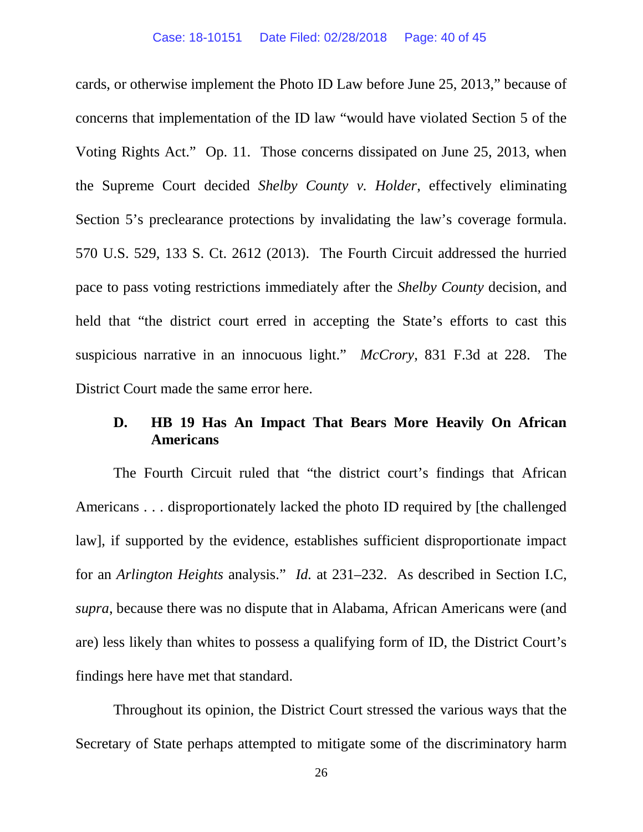cards, or otherwise implement the Photo ID Law before June 25, 2013," because of concerns that implementation of the ID law "would have violated Section 5 of the Voting Rights Act." Op. 11. Those concerns dissipated on June 25, 2013, when the Supreme Court decided *Shelby County v. Holder*, effectively eliminating Section 5's preclearance protections by invalidating the law's coverage formula. 570 U.S. 529, 133 S. Ct. 2612 (2013). The Fourth Circuit addressed the hurried pace to pass voting restrictions immediately after the *Shelby County* decision, and held that "the district court erred in accepting the State's efforts to cast this suspicious narrative in an innocuous light." *McCrory*, 831 F.3d at 228. The District Court made the same error here.

## **D. HB 19 Has An Impact That Bears More Heavily On African Americans**

The Fourth Circuit ruled that "the district court's findings that African Americans . . . disproportionately lacked the photo ID required by [the challenged law], if supported by the evidence, establishes sufficient disproportionate impact for an *Arlington Heights* analysis." *Id.* at 231–232. As described in Section I.C, *supra*, because there was no dispute that in Alabama, African Americans were (and are) less likely than whites to possess a qualifying form of ID, the District Court's findings here have met that standard.

Throughout its opinion, the District Court stressed the various ways that the Secretary of State perhaps attempted to mitigate some of the discriminatory harm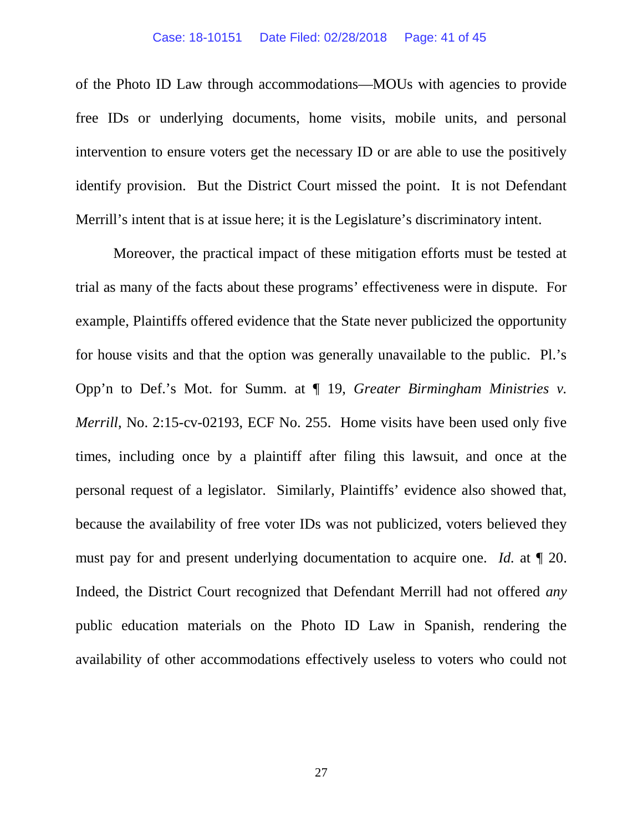#### Case: 18-10151 Date Filed: 02/28/2018 Page: 41 of 45

of the Photo ID Law through accommodations—MOUs with agencies to provide free IDs or underlying documents, home visits, mobile units, and personal intervention to ensure voters get the necessary ID or are able to use the positively identify provision. But the District Court missed the point. It is not Defendant Merrill's intent that is at issue here; it is the Legislature's discriminatory intent.

Moreover, the practical impact of these mitigation efforts must be tested at trial as many of the facts about these programs' effectiveness were in dispute. For example, Plaintiffs offered evidence that the State never publicized the opportunity for house visits and that the option was generally unavailable to the public. Pl.'s Opp'n to Def.'s Mot. for Summ. at ¶ 19, *Greater Birmingham Ministries v. Merrill*, No. 2:15-cv-02193, ECF No. 255. Home visits have been used only five times, including once by a plaintiff after filing this lawsuit, and once at the personal request of a legislator. Similarly, Plaintiffs' evidence also showed that, because the availability of free voter IDs was not publicized, voters believed they must pay for and present underlying documentation to acquire one. *Id.* at ¶ 20. Indeed, the District Court recognized that Defendant Merrill had not offered *any* public education materials on the Photo ID Law in Spanish, rendering the availability of other accommodations effectively useless to voters who could not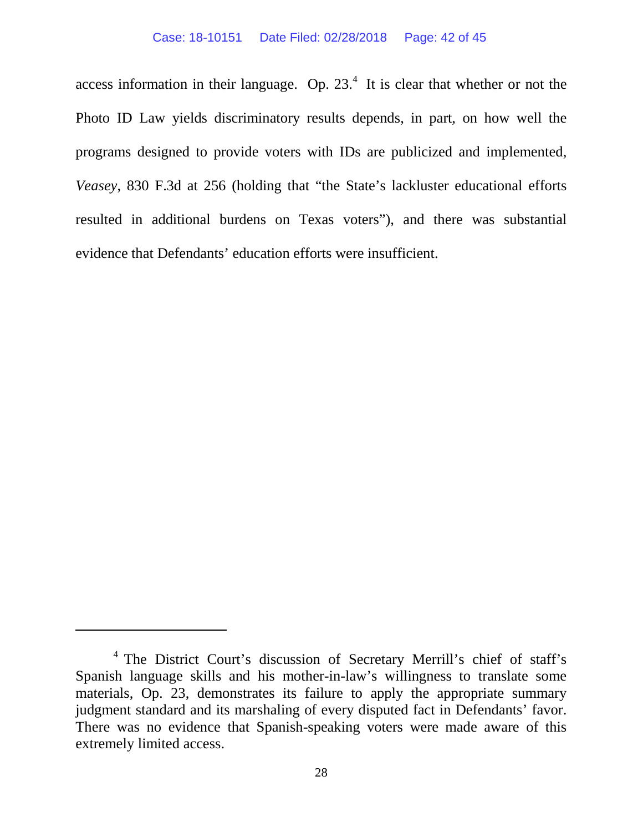access information in their language. Op.  $23<sup>4</sup>$  It is clear that whether or not the Photo ID Law yields discriminatory results depends, in part, on how well the programs designed to provide voters with IDs are publicized and implemented, *Veasey*, 830 F.3d at 256 (holding that "the State's lackluster educational efforts resulted in additional burdens on Texas voters"), and there was substantial evidence that Defendants' education efforts were insufficient.

<sup>&</sup>lt;sup>4</sup> The District Court's discussion of Secretary Merrill's chief of staff's Spanish language skills and his mother-in-law's willingness to translate some materials, Op. 23, demonstrates its failure to apply the appropriate summary judgment standard and its marshaling of every disputed fact in Defendants' favor. There was no evidence that Spanish-speaking voters were made aware of this extremely limited access.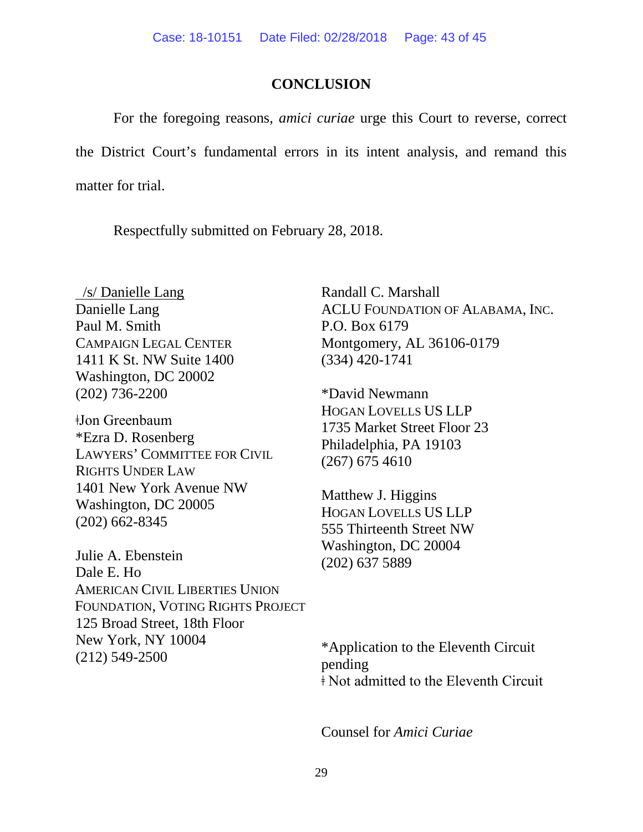## **CONCLUSION**

For the foregoing reasons, *amici curiae* urge this Court to reverse, correct the District Court's fundamental errors in its intent analysis, and remand this matter for trial.

Respectfully submitted on February 28, 2018.

/s/ Danielle Lang Danielle Lang Paul M. Smith CAMPAIGN LEGAL CENTER 1411 K St. NW Suite 1400 Washington, DC 20002 (202) 736-2200

ǂJon Greenbaum \*Ezra D. Rosenberg LAWYERS' COMMITTEE FOR CIVIL RIGHTS UNDER LAW 1401 New York Avenue NW Washington, DC 20005 (202) 662-8345

Julie A. Ebenstein Dale E. Ho AMERICAN CIVIL LIBERTIES UNION FOUNDATION, VOTING RIGHTS PROJECT 125 Broad Street, 18th Floor New York, NY 10004 (212) 549-2500

Randall C. Marshall ACLU FOUNDATION OF ALABAMA, INC. P.O. Box 6179 Montgomery, AL 36106-0179 (334) 420-1741

\*David Newmann HOGAN LOVELLS US LLP 1735 Market Street Floor 23 Philadelphia, PA 19103 (267) 675 4610

Matthew J. Higgins HOGAN LOVELLS US LLP 555 Thirteenth Street NW Washington, DC 20004 (202) 637 5889

\*Application to the Eleventh Circuit pending ǂ Not admitted to the Eleventh Circuit

Counsel for *Amici Curiae*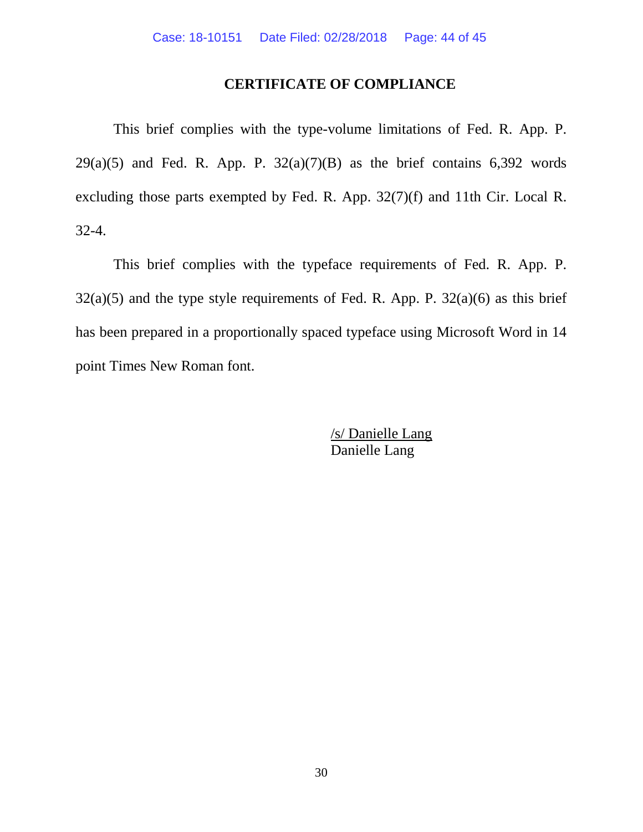# **CERTIFICATE OF COMPLIANCE**

This brief complies with the type-volume limitations of Fed. R. App. P.  $29(a)(5)$  and Fed. R. App. P.  $32(a)(7)(B)$  as the brief contains 6,392 words excluding those parts exempted by Fed. R. App. 32(7)(f) and 11th Cir. Local R. 32-4.

This brief complies with the typeface requirements of Fed. R. App. P.  $32(a)(5)$  and the type style requirements of Fed. R. App. P.  $32(a)(6)$  as this brief has been prepared in a proportionally spaced typeface using Microsoft Word in 14 point Times New Roman font.

> /s/ Danielle Lang Danielle Lang